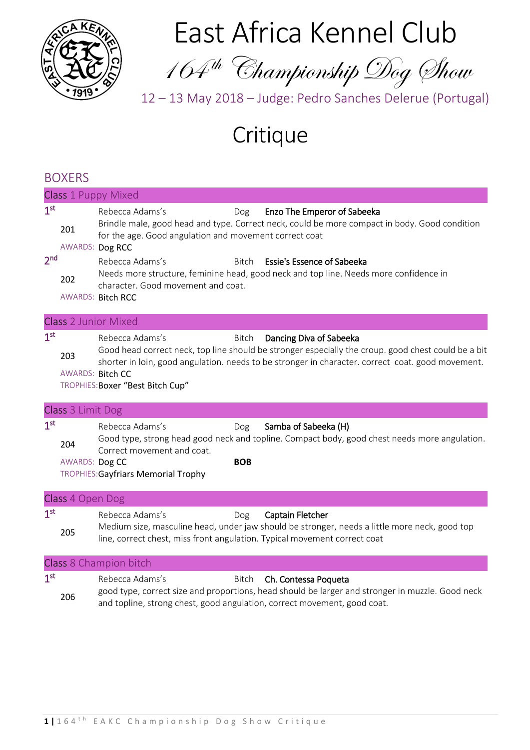

East Africa Kennel Club

164th Championship Dog Show

12 – 13 May 2018 – Judge: Pedro Sanches Delerue (Portugal)

# Critique

# BOXERS

|                                    | <b>Class 1 Puppy Mixed</b>     |                                                                                                                                                                                   |                   |                                                                                                                                                                                                                                                            |  |  |
|------------------------------------|--------------------------------|-----------------------------------------------------------------------------------------------------------------------------------------------------------------------------------|-------------------|------------------------------------------------------------------------------------------------------------------------------------------------------------------------------------------------------------------------------------------------------------|--|--|
| 1 <sup>st</sup><br>2 <sub>nd</sub> | 201<br>202                     | Rebecca Adams's<br>for the age. Good angulation and movement correct coat<br>AWARDS: Dog RCC<br>Rebecca Adams's<br>character. Good movement and coat.<br><b>AWARDS: Bitch RCC</b> | Dog<br>Bitch      | Enzo The Emperor of Sabeeka<br>Brindle male, good head and type. Correct neck, could be more compact in body. Good condition<br><b>Essie's Essence of Sabeeka</b><br>Needs more structure, feminine head, good neck and top line. Needs more confidence in |  |  |
|                                    |                                | <b>Class 2 Junior Mixed</b>                                                                                                                                                       |                   |                                                                                                                                                                                                                                                            |  |  |
| 1 <sup>st</sup>                    | 203<br><b>AWARDS: Bitch CC</b> | Rebecca Adams's<br>TROPHIES: Boxer "Best Bitch Cup"                                                                                                                               | <b>Bitch</b>      | Dancing Diva of Sabeeka<br>Good head correct neck, top line should be stronger especially the croup. good chest could be a bit<br>shorter in loin, good angulation. needs to be stronger in character. correct coat. good movement.                        |  |  |
|                                    | Class 3 Limit Dog              |                                                                                                                                                                                   |                   |                                                                                                                                                                                                                                                            |  |  |
| 1 <sup>st</sup>                    | 204<br>AWARDS: Dog CC          | Rebecca Adams's<br>Correct movement and coat.<br>TROPHIES: Gayfriars Memorial Trophy                                                                                              | Dog<br><b>BOB</b> | Samba of Sabeeka (H)<br>Good type, strong head good neck and topline. Compact body, good chest needs more angulation.                                                                                                                                      |  |  |
|                                    | Class 4 Open Dog               |                                                                                                                                                                                   |                   |                                                                                                                                                                                                                                                            |  |  |
| 1 <sup>st</sup>                    | 205                            | Rebecca Adams's<br>line, correct chest, miss front angulation. Typical movement correct coat                                                                                      | Dog               | Captain Fletcher<br>Medium size, masculine head, under jaw should be stronger, needs a little more neck, good top                                                                                                                                          |  |  |
|                                    |                                | Class 8 Champion bitch                                                                                                                                                            |                   |                                                                                                                                                                                                                                                            |  |  |
| 1 <sup>st</sup>                    |                                | Rebecca Adams's                                                                                                                                                                   | <b>Bitch</b>      | Ch. Contessa Poqueta                                                                                                                                                                                                                                       |  |  |

Rebecca Adams's Bitch Ch. Contessa Poqueta <sup>206</sup> good type, correct size and proportions, head should be larger and stronger in muzzle. Good neck and topline, strong chest, good angulation, correct movement, good coat.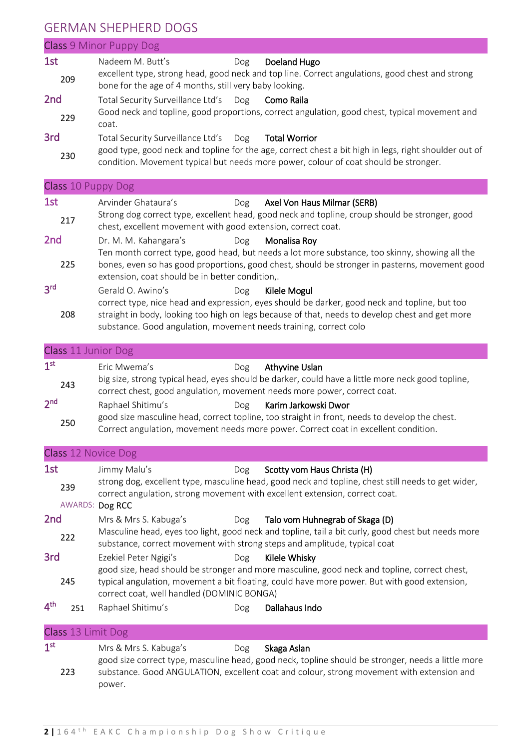# GERMAN SHEPHERD DOGS

|                 |                    | <b>Class 9 Minor Puppy Dog</b>                                                                                                                                                                                                                      |
|-----------------|--------------------|-----------------------------------------------------------------------------------------------------------------------------------------------------------------------------------------------------------------------------------------------------|
| 1st             |                    | Nadeem M. Butt's<br>Doeland Hugo<br>Dog                                                                                                                                                                                                             |
|                 | 209                | excellent type, strong head, good neck and top line. Correct angulations, good chest and strong<br>bone for the age of 4 months, still very baby looking.                                                                                           |
| 2 <sub>nd</sub> |                    | Total Security Surveillance Ltd's<br>Dog<br>Como Raila                                                                                                                                                                                              |
|                 | 229                | Good neck and topline, good proportions, correct angulation, good chest, typical movement and<br>coat.                                                                                                                                              |
| 3rd             |                    | Total Security Surveillance Ltd's<br>Dog<br><b>Total Worrior</b>                                                                                                                                                                                    |
|                 | 230                | good type, good neck and topline for the age, correct chest a bit high in legs, right shoulder out of<br>condition. Movement typical but needs more power, colour of coat should be stronger.                                                       |
|                 |                    | Class 10 Puppy Dog                                                                                                                                                                                                                                  |
| 1st             |                    | Arvinder Ghataura's<br>Axel Von Haus Milmar (SERB)<br>Dog                                                                                                                                                                                           |
|                 | 217                | Strong dog correct type, excellent head, good neck and topline, croup should be stronger, good<br>chest, excellent movement with good extension, correct coat.                                                                                      |
| 2 <sub>nd</sub> |                    | Dr. M. M. Kahangara's<br>Monalisa Roy<br>Dog                                                                                                                                                                                                        |
|                 | 225                | Ten month correct type, good head, but needs a lot more substance, too skinny, showing all the<br>bones, even so has good proportions, good chest, should be stronger in pasterns, movement good<br>extension, coat should be in better condition,. |
| 3 <sup>rd</sup> |                    | Gerald O. Awino's<br>Kilele Mogul<br>Dog                                                                                                                                                                                                            |
|                 |                    | correct type, nice head and expression, eyes should be darker, good neck and topline, but too                                                                                                                                                       |
|                 | 208                | straight in body, looking too high on legs because of that, needs to develop chest and get more<br>substance. Good angulation, movement needs training, correct colo                                                                                |
|                 |                    | <b>Class 11 Junior Dog</b>                                                                                                                                                                                                                          |
| 1 <sup>st</sup> |                    | Eric Mwema's<br>Athyvine Uslan<br>Dog                                                                                                                                                                                                               |
|                 | 243                | big size, strong typical head, eyes should be darker, could have a little more neck good topline,<br>correct chest, good angulation, movement needs more power, correct coat.                                                                       |
| 2 <sub>nd</sub> |                    | Raphael Shitimu's<br>Karim Jarkowski Dwor<br>Dog                                                                                                                                                                                                    |
|                 | 250                | good size masculine head, correct topline, too straight in front, needs to develop the chest.<br>Correct angulation, movement needs more power. Correct coat in excellent condition.                                                                |
|                 |                    | Class 12 Novice Dog                                                                                                                                                                                                                                 |
| 1st             |                    | Scotty vom Haus Christa (H)<br>Jimmy Malu's<br>Dog                                                                                                                                                                                                  |
|                 | 239                | strong dog, excellent type, masculine head, good neck and topline, chest still needs to get wider,<br>correct angulation, strong movement with excellent extension, correct coat.                                                                   |
|                 |                    | AWARDS: Dog RCC                                                                                                                                                                                                                                     |
| 2 <sub>nd</sub> |                    | Mrs & Mrs S. Kabuga's<br>Talo vom Huhnegrab of Skaga (D)<br><b>Dog</b>                                                                                                                                                                              |
|                 | 222                | Masculine head, eyes too light, good neck and topline, tail a bit curly, good chest but needs more<br>substance, correct movement with strong steps and amplitude, typical coat                                                                     |
| 3rd             |                    | Kilele Whisky<br>Ezekiel Peter Ngigi's<br>Dog<br>good size, head should be stronger and more masculine, good neck and topline, correct chest,                                                                                                       |
|                 | 245                | typical angulation, movement a bit floating, could have more power. But with good extension,<br>correct coat, well handled (DOMINIC BONGA)                                                                                                          |
| 4 <sup>th</sup> | 251                | Raphael Shitimu's<br>Dallahaus Indo<br>Dog                                                                                                                                                                                                          |
|                 | Class 13 Limit Dog |                                                                                                                                                                                                                                                     |
| 1 <sup>st</sup> |                    | Mrs & Mrs S. Kabuga's<br>Skaga Aslan<br>Dog                                                                                                                                                                                                         |

223 good size correct type, masculine head, good neck, topline should be stronger, needs a little more substance. Good ANGULATION, excellent coat and colour, strong movement with extension and power.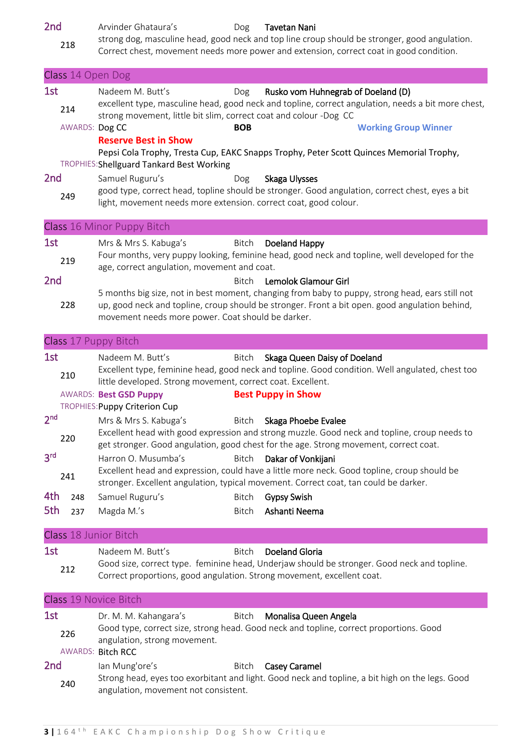2nd Arvinder Ghataura's Dog Tavetan Nani

<sup>218</sup> strong dog, masculine head, good neck and top line croup should be stronger, good angulation. Correct chest, movement needs more power and extension, correct coat in good condition.

|                                           | Class 14 Open Dog     |                                                                                                                                                                                                                                                                                                                                                                                                                                                                                                                                                                                       |
|-------------------------------------------|-----------------------|---------------------------------------------------------------------------------------------------------------------------------------------------------------------------------------------------------------------------------------------------------------------------------------------------------------------------------------------------------------------------------------------------------------------------------------------------------------------------------------------------------------------------------------------------------------------------------------|
| 1st                                       | 214<br>AWARDS: Dog CC | Nadeem M. Butt's<br>Rusko vom Huhnegrab of Doeland (D)<br>Dog<br>excellent type, masculine head, good neck and topline, correct angulation, needs a bit more chest,<br>strong movement, little bit slim, correct coat and colour -Dog CC<br><b>BOB</b><br><b>Working Group Winner</b><br><b>Reserve Best in Show</b>                                                                                                                                                                                                                                                                  |
| 2 <sub>nd</sub>                           | 249                   | Pepsi Cola Trophy, Tresta Cup, EAKC Snapps Trophy, Peter Scott Quinces Memorial Trophy,<br>TROPHIES: Shellguard Tankard Best Working<br>Samuel Ruguru's<br>Skaga Ulysses<br>Dog<br>good type, correct head, topline should be stronger. Good angulation, correct chest, eyes a bit<br>light, movement needs more extension. correct coat, good colour.                                                                                                                                                                                                                                |
|                                           |                       | Class 16 Minor Puppy Bitch                                                                                                                                                                                                                                                                                                                                                                                                                                                                                                                                                            |
| 1st                                       | 219                   | Doeland Happy<br>Mrs & Mrs S. Kabuga's<br>Bitch<br>Four months, very puppy looking, feminine head, good neck and topline, well developed for the<br>age, correct angulation, movement and coat.                                                                                                                                                                                                                                                                                                                                                                                       |
| 2 <sub>nd</sub>                           | 228                   | Lemolok Glamour Girl<br><b>Bitch</b><br>5 months big size, not in best moment, changing from baby to puppy, strong head, ears still not<br>up, good neck and topline, croup should be stronger. Front a bit open. good angulation behind,<br>movement needs more power. Coat should be darker.                                                                                                                                                                                                                                                                                        |
|                                           |                       | Class 17 Puppy Bitch                                                                                                                                                                                                                                                                                                                                                                                                                                                                                                                                                                  |
| 1st                                       | 210                   | Nadeem M. Butt's<br>Skaga Queen Daisy of Doeland<br>Bitch<br>Excellent type, feminine head, good neck and topline. Good condition. Well angulated, chest too<br>little developed. Strong movement, correct coat. Excellent.<br><b>AWARDS: Best GSD Puppy</b><br><b>Best Puppy in Show</b>                                                                                                                                                                                                                                                                                             |
| 2 <sub>nd</sub><br>3 <sup>rd</sup><br>4th | 220<br>241<br>248     | TROPHIES: Puppy Criterion Cup<br>Mrs & Mrs S. Kabuga's<br>Bitch<br>Skaga Phoebe Evalee<br>Excellent head with good expression and strong muzzle. Good neck and topline, croup needs to<br>get stronger. Good angulation, good chest for the age. Strong movement, correct coat.<br>Harron O. Musumba's<br><b>Bitch</b><br>Dakar of Vonkijani<br>Excellent head and expression, could have a little more neck. Good topline, croup should be<br>stronger. Excellent angulation, typical movement. Correct coat, tan could be darker.<br>Samuel Ruguru's<br><b>Gypsy Swish</b><br>Bitch |
| 5th                                       | 237                   | Ashanti Neema<br>Magda M.'s<br><b>Bitch</b>                                                                                                                                                                                                                                                                                                                                                                                                                                                                                                                                           |
| 1st                                       | 212                   | Class 18 Junior Bitch<br>Nadeem M. Butt's<br><b>Bitch</b><br><b>Doeland Gloria</b><br>Good size, correct type. feminine head, Underjaw should be stronger. Good neck and topline.<br>Correct proportions, good angulation. Strong movement, excellent coat.                                                                                                                                                                                                                                                                                                                           |
|                                           |                       | Class 19 Novice Bitch                                                                                                                                                                                                                                                                                                                                                                                                                                                                                                                                                                 |
| 1st                                       | 226                   | Dr. M. M. Kahangara's<br>Monalisa Queen Angela<br>Bitch<br>Good type, correct size, strong head. Good neck and topline, correct proportions. Good<br>angulation, strong movement.<br>AWARDS: Bitch RCC                                                                                                                                                                                                                                                                                                                                                                                |
| 2 <sub>nd</sub>                           | 240                   | lan Mung'ore's<br>Casey Caramel<br>Bitch<br>Strong head, eyes too exorbitant and light. Good neck and topline, a bit high on the legs. Good<br>angulation, movement not consistent.                                                                                                                                                                                                                                                                                                                                                                                                   |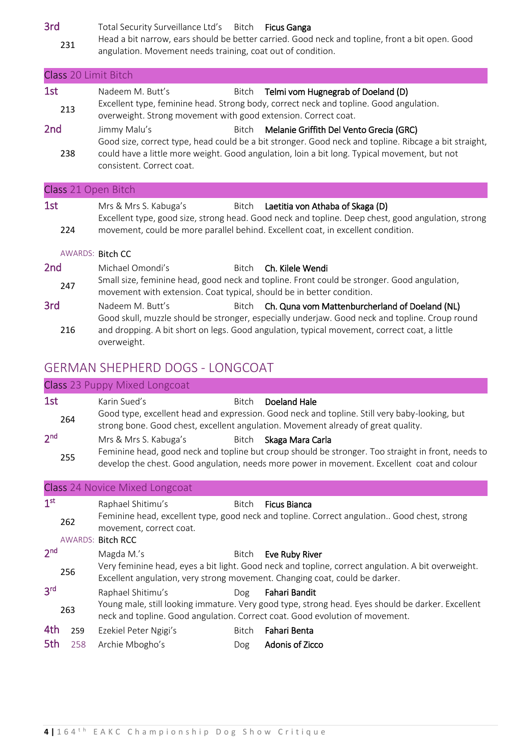3rd Total Security Surveillance Ltd's Bitch Ficus Ganga

<sup>231</sup> Head a bit narrow, ears should be better carried. Good neck and topline, front a bit open. Good angulation. Movement needs training, coat out of condition.

|                         | <b>Class 20 Limit Bitch</b>                                                                                                                                                                                                                                                |  |  |  |  |
|-------------------------|----------------------------------------------------------------------------------------------------------------------------------------------------------------------------------------------------------------------------------------------------------------------------|--|--|--|--|
| 1st<br>213              | Nadeem M. Butt's<br>Telmi vom Hugnegrab of Doeland (D)<br>Bitch<br>Excellent type, feminine head. Strong body, correct neck and topline. Good angulation.<br>overweight. Strong movement with good extension. Correct coat.                                                |  |  |  |  |
| 2 <sub>nd</sub>         | Jimmy Malu's<br>Bitch Melanie Griffith Del Vento Grecia (GRC)<br>Good size, correct type, head could be a bit stronger. Good neck and topline. Ribcage a bit straight,                                                                                                     |  |  |  |  |
| 238                     | could have a little more weight. Good angulation, loin a bit long. Typical movement, but not<br>consistent. Correct coat.                                                                                                                                                  |  |  |  |  |
| Class 21 Open Bitch     |                                                                                                                                                                                                                                                                            |  |  |  |  |
| 1st                     | Mrs & Mrs S. Kabuga's<br>Bitch Laetitia von Athaba of Skaga (D)<br>Excellent type, good size, strong head. Good neck and topline. Deep chest, good angulation, strong                                                                                                      |  |  |  |  |
| 224                     | movement, could be more parallel behind. Excellent coat, in excellent condition.                                                                                                                                                                                           |  |  |  |  |
| <b>AWARDS: Bitch CC</b> |                                                                                                                                                                                                                                                                            |  |  |  |  |
| 2 <sub>nd</sub>         | Michael Omondi's<br>Bitch <b>Ch. Kilele Wendi</b>                                                                                                                                                                                                                          |  |  |  |  |
| 247                     | Small size, feminine head, good neck and topline. Front could be stronger. Good angulation,<br>movement with extension. Coat typical, should be in better condition.                                                                                                       |  |  |  |  |
| 3rd<br>216              | Bitch Ch. Quna vom Mattenburcherland of Doeland (NL)<br>Nadeem M. Butt's<br>Good skull, muzzle should be stronger, especially underjaw. Good neck and topline. Croup round<br>and dropping. A bit short on legs. Good angulation, typical movement, correct coat, a little |  |  |  |  |
|                         | overweight.<br><b>GERMAN SHEPHERD DOGS - LONGCOAT</b>                                                                                                                                                                                                                      |  |  |  |  |

|                        |                                       |              | Class 23 Puppy Mixed Longcoat                                                                                                                                                                                         |  |  |  |  |
|------------------------|---------------------------------------|--------------|-----------------------------------------------------------------------------------------------------------------------------------------------------------------------------------------------------------------------|--|--|--|--|
| 1st<br>264             | Karin Sued's                          | <b>Bitch</b> | Doeland Hale<br>Good type, excellent head and expression. Good neck and topline. Still very baby-looking, but<br>strong bone. Good chest, excellent angulation. Movement already of great quality.                    |  |  |  |  |
| 2 <sub>nd</sub><br>255 | Mrs & Mrs S. Kabuga's                 | Bitch        | Skaga Mara Carla<br>Feminine head, good neck and topline but croup should be stronger. Too straight in front, needs to<br>develop the chest. Good angulation, needs more power in movement. Excellent coat and colour |  |  |  |  |
|                        | <b>Class 24 Novice Mixed Longcoat</b> |              |                                                                                                                                                                                                                       |  |  |  |  |
| 1 <sup>st</sup>        | Raphael Shitimu's                     | <b>Bitch</b> | <b>Ficus Bianca</b>                                                                                                                                                                                                   |  |  |  |  |

| -               |     | udhiidci bilitiilu b                                                                                                                                                              |              | <b>DILLII LUUS DIGHLO</b>                                                                                                                                                         |  |
|-----------------|-----|-----------------------------------------------------------------------------------------------------------------------------------------------------------------------------------|--------------|-----------------------------------------------------------------------------------------------------------------------------------------------------------------------------------|--|
|                 | 262 | movement, correct coat.                                                                                                                                                           |              | Feminine head, excellent type, good neck and topline. Correct angulation Good chest, strong                                                                                       |  |
|                 |     | <b>AWARDS: Bitch RCC</b>                                                                                                                                                          |              |                                                                                                                                                                                   |  |
| 2 <sup>nd</sup> |     | Magda M.'s                                                                                                                                                                        | Bitch        | Eve Ruby River                                                                                                                                                                    |  |
|                 | 256 |                                                                                                                                                                                   |              | Very feminine head, eyes a bit light. Good neck and topline, correct angulation. A bit overweight.<br>Excellent angulation, very strong movement. Changing coat, could be darker. |  |
| 3 <sup>rd</sup> |     | Raphael Shitimu's                                                                                                                                                                 | Dog          | Fahari Bandit                                                                                                                                                                     |  |
|                 | 263 | Young male, still looking immature. Very good type, strong head. Eyes should be darker. Excellent<br>neck and topline. Good angulation. Correct coat. Good evolution of movement. |              |                                                                                                                                                                                   |  |
| 4th             | 259 | Ezekiel Peter Ngigi's                                                                                                                                                             | <b>Bitch</b> | Fahari Benta                                                                                                                                                                      |  |
| 5th             | 258 | Archie Mbogho's                                                                                                                                                                   | Dog          | Adonis of Zicco                                                                                                                                                                   |  |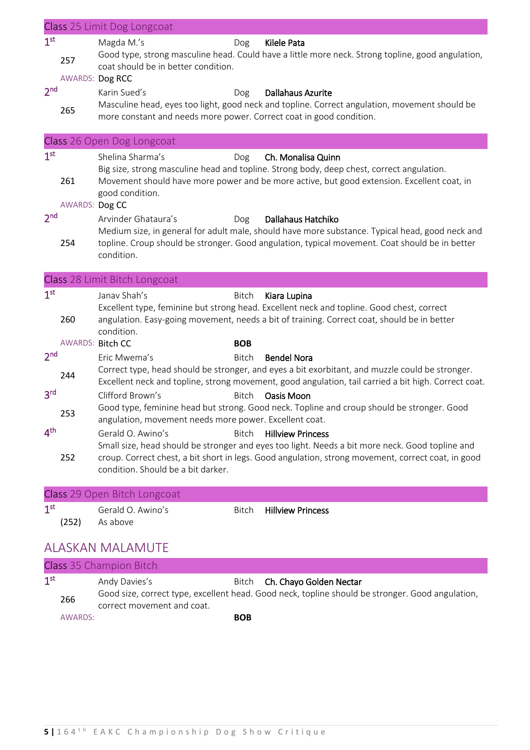|                 |                        | Class 25 Limit Dog Longcoat                                                         |              |                                                                                                                                                                                                                                   |
|-----------------|------------------------|-------------------------------------------------------------------------------------|--------------|-----------------------------------------------------------------------------------------------------------------------------------------------------------------------------------------------------------------------------------|
| 1 <sup>st</sup> | 257<br>AWARDS: Dog RCC | Magda M.'s<br>coat should be in better condition.                                   | Dog          | <b>Kilele Pata</b><br>Good type, strong masculine head. Could have a little more neck. Strong topline, good angulation,                                                                                                           |
| 2 <sub>nd</sub> | 265                    | Karin Sued's<br>more constant and needs more power. Correct coat in good condition. | Dog          | <b>Dallahaus Azurite</b><br>Masculine head, eyes too light, good neck and topline. Correct angulation, movement should be                                                                                                         |
|                 |                        | Class 26 Open Dog Longcoat                                                          |              |                                                                                                                                                                                                                                   |
| 1 <sup>st</sup> | 261<br>AWARDS: Dog CC  | Shelina Sharma's<br>good condition.                                                 | Dog          | Ch. Monalisa Quinn<br>Big size, strong masculine head and topline. Strong body, deep chest, correct angulation.<br>Movement should have more power and be more active, but good extension. Excellent coat, in                     |
| 2 <sub>nd</sub> | 254                    | Arvinder Ghataura's<br>condition.                                                   | Dog          | Dallahaus Hatchiko<br>Medium size, in general for adult male, should have more substance. Typical head, good neck and<br>topline. Croup should be stronger. Good angulation, typical movement. Coat should be in better           |
|                 |                        | Class 28 Limit Bitch Longcoat                                                       |              |                                                                                                                                                                                                                                   |
| 1 <sup>st</sup> | 260                    | Janav Shah's<br>condition.                                                          | Bitch        | Kiara Lupina<br>Excellent type, feminine but strong head. Excellent neck and topline. Good chest, correct<br>angulation. Easy-going movement, needs a bit of training. Correct coat, should be in better                          |
|                 | AWARDS: Bitch CC       |                                                                                     | <b>BOB</b>   |                                                                                                                                                                                                                                   |
| 2 <sub>nd</sub> | 244                    | Eric Mwema's                                                                        | <b>Bitch</b> | <b>Bendel Nora</b><br>Correct type, head should be stronger, and eyes a bit exorbitant, and muzzle could be stronger.<br>Excellent neck and topline, strong movement, good angulation, tail carried a bit high. Correct coat.     |
| 3 <sup>rd</sup> | 253                    | Clifford Brown's<br>angulation, movement needs more power. Excellent coat.          | <b>Bitch</b> | Oasis Moon<br>Good type, feminine head but strong. Good neck. Topline and croup should be stronger. Good                                                                                                                          |
| 4 <sup>th</sup> | 252                    | Gerald O. Awino's<br>condition. Should be a bit darker.                             | <b>Bitch</b> | <b>Hillview Princess</b><br>Small size, head should be stronger and eyes too light. Needs a bit more neck. Good topline and<br>croup. Correct chest, a bit short in legs. Good angulation, strong movement, correct coat, in good |
|                 |                        | Class 29 Open Bitch Longcoat                                                        |              |                                                                                                                                                                                                                                   |
| 1 <sup>st</sup> | (252)                  | Gerald O. Awino's<br>As above                                                       | Bitch        | <b>Hillview Princess</b>                                                                                                                                                                                                          |
|                 |                        | <b>ALASKAN MALAMUTE</b>                                                             |              |                                                                                                                                                                                                                                   |
|                 |                        | Class 25 Champion Ditch                                                             |              |                                                                                                                                                                                                                                   |

| Class 35 Champion Bitch |         |                            |                                                                                                  |  |  |
|-------------------------|---------|----------------------------|--------------------------------------------------------------------------------------------------|--|--|
| 1 <sup>st</sup>         |         | Andy Davies's              | Bitch Ch. Chayo Golden Nectar                                                                    |  |  |
| 266                     |         | correct movement and coat. | Good size, correct type, excellent head. Good neck, topline should be stronger. Good angulation, |  |  |
|                         | AWARDS: | <b>BOB</b>                 |                                                                                                  |  |  |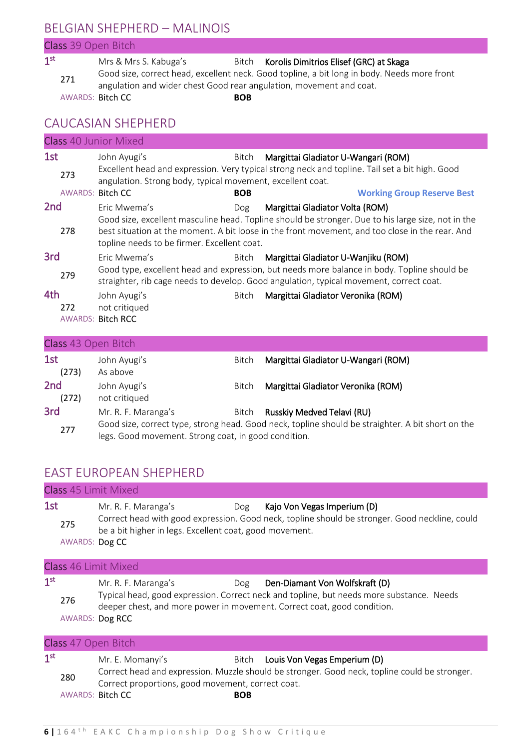# BELGIAN SHEPHERD – MALINOIS

#### Class 39 Open Bitch

1 st Mrs & Mrs S. Kabuga's Bitch Korolis Dimitrios Elisef (GRC) at Skaga <sup>271</sup> Good size, correct head, excellent neck. Good topline, a bit long in body. Needs more front angulation and wider chest Good rear angulation, movement and coat. AWARDS: Bitch CC **BOB** 

#### CAUCASIAN SHEPHERD

|                          | <b>Class 40 Junior Mixed</b>                                                                                                                                                           |            |                                                                                                                                                                                                       |  |  |  |
|--------------------------|----------------------------------------------------------------------------------------------------------------------------------------------------------------------------------------|------------|-------------------------------------------------------------------------------------------------------------------------------------------------------------------------------------------------------|--|--|--|
| 1st<br>273               | John Ayugi's<br>angulation. Strong body, typical movement, excellent coat.                                                                                                             | Bitch      | Margittai Gladiator U-Wangari (ROM)<br>Excellent head and expression. Very typical strong neck and topline. Tail set a bit high. Good                                                                 |  |  |  |
| <b>AWARDS: Bitch CC</b>  |                                                                                                                                                                                        | <b>BOB</b> | <b>Working Group Reserve Best</b>                                                                                                                                                                     |  |  |  |
| 2 <sub>nd</sub>          | Eric Mwema's                                                                                                                                                                           | Dog        | Margittai Gladiator Volta (ROM)                                                                                                                                                                       |  |  |  |
| 278                      | topline needs to be firmer. Excellent coat.                                                                                                                                            |            | Good size, excellent masculine head. Topline should be stronger. Due to his large size, not in the<br>best situation at the moment. A bit loose in the front movement, and too close in the rear. And |  |  |  |
| 3rd                      | Eric Mwema's                                                                                                                                                                           | Bitch      | Margittai Gladiator U-Wanjiku (ROM)                                                                                                                                                                   |  |  |  |
| 279                      | Good type, excellent head and expression, but needs more balance in body. Topline should be<br>straighter, rib cage needs to develop. Good angulation, typical movement, correct coat. |            |                                                                                                                                                                                                       |  |  |  |
| 4th                      | John Ayugi's                                                                                                                                                                           | Bitch      | Margittai Gladiator Veronika (ROM)                                                                                                                                                                    |  |  |  |
| 272                      | not critiqued                                                                                                                                                                          |            |                                                                                                                                                                                                       |  |  |  |
|                          | AWARDS: Bitch RCC                                                                                                                                                                      |            |                                                                                                                                                                                                       |  |  |  |
| Class 43 Open Bitch      |                                                                                                                                                                                        |            |                                                                                                                                                                                                       |  |  |  |
| 1st<br>(273)             | John Ayugi's<br>As above                                                                                                                                                               | Bitch      | Margittai Gladiator U-Wangari (ROM)                                                                                                                                                                   |  |  |  |
| 2 <sub>nd</sub><br>(272) | John Ayugi's<br>not critiqued                                                                                                                                                          | Bitch      | Margittai Gladiator Veronika (ROM)                                                                                                                                                                    |  |  |  |
| 3rd                      | Mr. R. F. Maranga's                                                                                                                                                                    | Bitch      | Russkiy Medved Telavi (RU)                                                                                                                                                                            |  |  |  |

<sup>277</sup> Good size, correct type, strong head. Good neck, topline should be straighter. A bit short on the legs. Good movement. Strong coat, in good condition.

#### EAST EUROPEAN SHEPHERD

|                        | Class 45 Limit Mixed                                                                                                                                                                                                                                                                                                                                                                                                                              |     |                             |  |  |  |
|------------------------|---------------------------------------------------------------------------------------------------------------------------------------------------------------------------------------------------------------------------------------------------------------------------------------------------------------------------------------------------------------------------------------------------------------------------------------------------|-----|-----------------------------|--|--|--|
| 1st<br>275             | Mr. R. F. Maranga's                                                                                                                                                                                                                                                                                                                                                                                                                               | Dog | Kajo Von Vegas Imperium (D) |  |  |  |
|                        |                                                                                                                                                                                                                                                                                                                                                                                                                                                   |     |                             |  |  |  |
| 1 <sup>st</sup><br>276 | Correct head with good expression. Good neck, topline should be stronger. Good neckline, could<br>be a bit higher in legs. Excellent coat, good movement.<br>AWARDS: Dog CC<br><b>Class 46 Limit Mixed</b><br>Den-Diamant Von Wolfskraft (D)<br>Mr. R. F. Maranga's<br>Dog<br>Typical head, good expression. Correct neck and topline, but needs more substance. Needs<br>deeper chest, and more power in movement. Correct coat, good condition. |     |                             |  |  |  |

#### AWARDS: Dog RCC

| Class 47 Open Bitch                                                       |                                                                                               |  |  |  |
|---------------------------------------------------------------------------|-----------------------------------------------------------------------------------------------|--|--|--|
| 1 <sup>st</sup><br>Bitch Louis Von Vegas Emperium (D)<br>Mr. E. Momanyi's |                                                                                               |  |  |  |
| 280                                                                       | Correct head and expression. Muzzle should be stronger. Good neck, topline could be stronger. |  |  |  |
| Correct proportions, good movement, correct coat.                         |                                                                                               |  |  |  |
| AWARDS: Bitch CC<br><b>BOB</b>                                            |                                                                                               |  |  |  |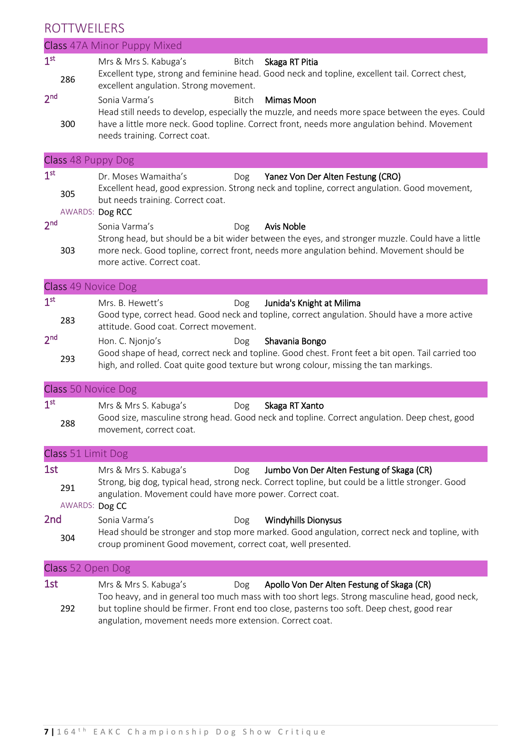#### ROTTWEILERS

|                 | 11 U T T V V L T L L T J J  |                                                                              |       |                                                                                                                                   |  |
|-----------------|-----------------------------|------------------------------------------------------------------------------|-------|-----------------------------------------------------------------------------------------------------------------------------------|--|
|                 | Class 47A Minor Puppy Mixed |                                                                              |       |                                                                                                                                   |  |
| 1 <sup>st</sup> | 286                         | Mrs & Mrs S. Kabuga's<br>excellent angulation. Strong movement.              | Bitch | Skaga RT Pitia<br>Excellent type, strong and feminine head. Good neck and topline, excellent tail. Correct chest,                 |  |
| 2 <sup>nd</sup> |                             | Sonia Varma's                                                                | Bitch | Mimas Moon<br>Head still needs to develop, especially the muzzle, and needs more space between the eyes. Could                    |  |
|                 | 300                         | needs training. Correct coat.                                                |       | have a little more neck. Good topline. Correct front, needs more angulation behind. Movement                                      |  |
|                 |                             | Class 48 Puppy Dog                                                           |       |                                                                                                                                   |  |
| 1 <sup>st</sup> | 305                         | Dr. Moses Wamaitha's<br>but needs training. Correct coat.<br>AWARDS: Dog RCC | Dog   | Yanez Von Der Alten Festung (CRO)<br>Excellent head, good expression. Strong neck and topline, correct angulation. Good movement, |  |
| 2 <sub>nd</sub> |                             | Sonia Varma's                                                                | Dog   | <b>Avis Noble</b><br>Strong head, but should be a bit wider between the eyes, and stronger muzzle. Could have a little            |  |
|                 | 303                         | more active. Correct coat.                                                   |       | more neck. Good topline, correct front, needs more angulation behind. Movement should be                                          |  |
|                 |                             | Class 49 Novice Dog                                                          |       |                                                                                                                                   |  |
| 1 <sup>st</sup> |                             | Mrs. B. Hewett's                                                             | Dog   | Junida's Knight at Milima                                                                                                         |  |

|       |                                                                                               | _____________________________ |  |
|-------|-----------------------------------------------------------------------------------------------|-------------------------------|--|
| 283   | Good type, correct head. Good neck and topline, correct angulation. Should have a more active |                               |  |
|       | attitude. Good coat. Correct movement.                                                        |                               |  |
| المحب |                                                                                               |                               |  |

2 nd Hon. C. Njonjo's **Dog** Shavania Bongo <sup>293</sup> Good shape of head, correct neck and topline. Good chest. Front feet a bit open. Tail carried too high, and rolled. Coat quite good texture but wrong colour, missing the tan markings.

#### Class 50 Novice Dog

| 1 <sup>st</sup> | Mrs & Mrs S. Kabuga's   | Dog | Skaga RT Xanto |                                                                                               |
|-----------------|-------------------------|-----|----------------|-----------------------------------------------------------------------------------------------|
| 288             |                         |     |                | Good size, masculine strong head. Good neck and topline. Correct angulation. Deep chest, good |
|                 | movement, correct coat. |     |                |                                                                                               |

| Class 51 Limit Dog |                                                                             |     |                                                                                                                                                |  |  |
|--------------------|-----------------------------------------------------------------------------|-----|------------------------------------------------------------------------------------------------------------------------------------------------|--|--|
| 1st                | Mrs & Mrs S. Kabuga's                                                       | Dog | Jumbo Von Der Alten Festung of Skaga (CR)<br>Strong, big dog, typical head, strong neck. Correct topline, but could be a little stronger. Good |  |  |
| 291                | angulation. Movement could have more power. Correct coat.<br>AWARDS: Dog CC |     |                                                                                                                                                |  |  |
| 2 <sub>nd</sub>    | Sonia Varma's                                                               | Dog | <b>Windyhills Dionysus</b>                                                                                                                     |  |  |
| 304                | croup prominent Good movement, correct coat, well presented.                |     | Head should be stronger and stop more marked. Good angulation, correct neck and topline, with                                                  |  |  |

#### Class 52 Open Dog

| 1st | Mrs & Mrs S. Kabuga's                                    | Dog | Apollo Von Der Alten Festung of Skaga (CR)                                                     |
|-----|----------------------------------------------------------|-----|------------------------------------------------------------------------------------------------|
|     |                                                          |     | Too heavy, and in general too much mass with too short legs. Strong masculine head, good neck, |
| 292 |                                                          |     | but topline should be firmer. Front end too close, pasterns too soft. Deep chest, good rear    |
|     | angulation, movement needs more extension. Correct coat. |     |                                                                                                |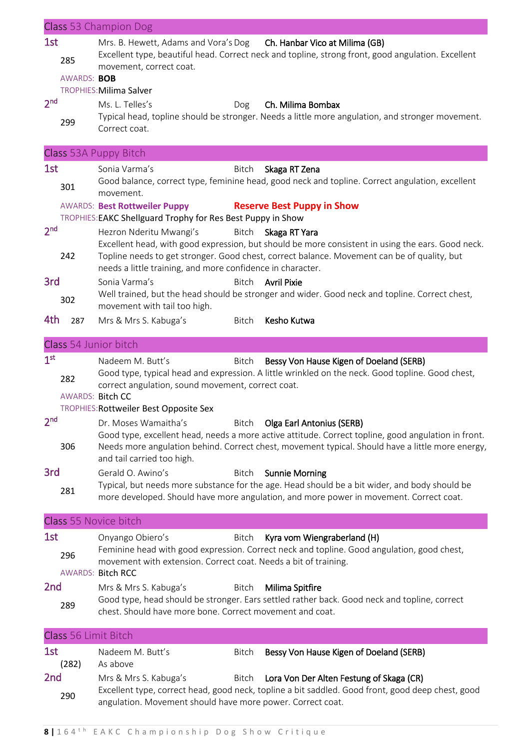|                 |                             | <b>Class</b> 53 Champion Dog                                                                                                                                                                                                                                                                                     |
|-----------------|-----------------------------|------------------------------------------------------------------------------------------------------------------------------------------------------------------------------------------------------------------------------------------------------------------------------------------------------------------|
| 1st             | 285                         | Mrs. B. Hewett, Adams and Vora's Dog Ch. Hanbar Vico at Milima (GB)<br>Excellent type, beautiful head. Correct neck and topline, strong front, good angulation. Excellent<br>movement, correct coat.                                                                                                             |
|                 | AWARDS: BOB                 |                                                                                                                                                                                                                                                                                                                  |
| 2 <sub>nd</sub> |                             | TROPHIES: Milima Salver                                                                                                                                                                                                                                                                                          |
|                 | 299                         | Ms. L. Telles's<br>Ch. Milima Bombax<br>Dog<br>Typical head, topline should be stronger. Needs a little more angulation, and stronger movement.<br>Correct coat.                                                                                                                                                 |
|                 |                             | Class 53A Puppy Bitch                                                                                                                                                                                                                                                                                            |
| 1st             |                             | Sonia Varma's<br>Bitch<br>Skaga RT Zena                                                                                                                                                                                                                                                                          |
|                 | 301                         | Good balance, correct type, feminine head, good neck and topline. Correct angulation, excellent<br>movement.                                                                                                                                                                                                     |
|                 |                             | <b>Reserve Best Puppy in Show</b><br><b>AWARDS: Best Rottweiler Puppy</b><br>TROPHIES: EAKC Shellguard Trophy for Res Best Puppy in Show                                                                                                                                                                         |
| 2 <sup>nd</sup> | 242                         | Hezron Nderitu Mwangi's<br>Bitch Skaga RT Yara<br>Excellent head, with good expression, but should be more consistent in using the ears. Good neck.<br>Topline needs to get stronger. Good chest, correct balance. Movement can be of quality, but<br>needs a little training, and more confidence in character. |
| 3rd             | 302                         | Sonia Varma's<br>Bitch Avril Pixie<br>Well trained, but the head should be stronger and wider. Good neck and topline. Correct chest,                                                                                                                                                                             |
| 4th             | 287                         | movement with tail too high.<br>Kesho Kutwa<br>Mrs & Mrs S. Kabuga's<br>Bitch                                                                                                                                                                                                                                    |
|                 |                             |                                                                                                                                                                                                                                                                                                                  |
|                 |                             | Class 54 Junior bitch                                                                                                                                                                                                                                                                                            |
| 1 <sup>st</sup> | 282<br>AWARDS: Bitch CC     | Nadeem M. Butt's<br>Bessy Von Hause Kigen of Doeland (SERB)<br>Bitch<br>Good type, typical head and expression. A little wrinkled on the neck. Good topline. Good chest,<br>correct angulation, sound movement, correct coat.<br>TROPHIES: Rottweiler Best Opposite Sex                                          |
| 2 <sup>nd</sup> |                             | Dr. Moses Wamaitha's<br>Bitch Olga Earl Antonius (SERB)                                                                                                                                                                                                                                                          |
|                 | 306                         | Good type, excellent head, needs a more active attitude. Correct topline, good angulation in front.<br>Needs more angulation behind. Correct chest, movement typical. Should have a little more energy,<br>and tail carried too high.                                                                            |
| 3rd             |                             | Gerald O. Awino's<br><b>Sunnie Morning</b><br><b>Bitch</b>                                                                                                                                                                                                                                                       |
|                 | 281                         | Typical, but needs more substance for the age. Head should be a bit wider, and body should be<br>more developed. Should have more angulation, and more power in movement. Correct coat.                                                                                                                          |
|                 |                             | Class 55 Novice bitch                                                                                                                                                                                                                                                                                            |
| 1st             | 296                         | Onyango Obiero's<br>Kyra vom Wiengraberland (H)<br>Bitch<br>Feminine head with good expression. Correct neck and topline. Good angulation, good chest,<br>movement with extension. Correct coat. Needs a bit of training.<br><b>AWARDS: Bitch RCC</b>                                                            |
| 2nd             | 289                         | Mrs & Mrs S. Kabuga's<br>Milima Spitfire<br>Bitch<br>Good type, head should be stronger. Ears settled rather back. Good neck and topline, correct<br>chest. Should have more bone. Correct movement and coat.                                                                                                    |
|                 | <b>Class 56 Limit Bitch</b> |                                                                                                                                                                                                                                                                                                                  |
| 1st             | (282)                       | Nadeem M. Butt's<br>Bitch<br>Bessy Von Hause Kigen of Doeland (SERB)<br>As above                                                                                                                                                                                                                                 |
| 2nd             | 290                         | Mrs & Mrs S. Kabuga's<br>Lora Von Der Alten Festung of Skaga (CR)<br>Bitch<br>Excellent type, correct head, good neck, topline a bit saddled. Good front, good deep chest, good<br>angulation. Movement should have more power. Correct coat.                                                                    |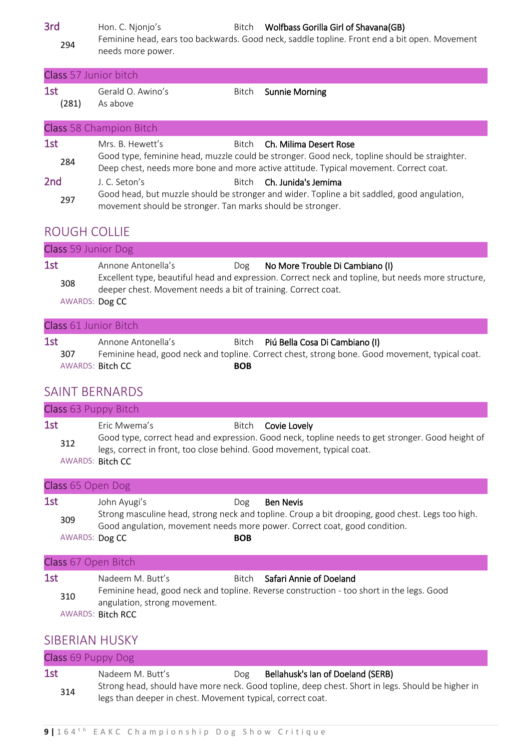3rd Hon. C. Njonjo's Bitch Wolfbass Gorilla Girl of Shavana(GB) <sup>294</sup> Feminine head, ears too backwards. Good neck, saddle topline. Front end a bit open. Movement needs more power.

|              | Class 57 Junior bitch         |       |                                                                                                                                                                                                                       |
|--------------|-------------------------------|-------|-----------------------------------------------------------------------------------------------------------------------------------------------------------------------------------------------------------------------|
| 1st<br>(281) | Gerald O. Awino's<br>As above | Bitch | <b>Sunnie Morning</b>                                                                                                                                                                                                 |
|              | Class 58 Champion Bitch       |       |                                                                                                                                                                                                                       |
| 1st<br>284   | Mrs. B. Hewett's              |       | Bitch Ch. Milima Desert Rose<br>Good type, feminine head, muzzle could be stronger. Good neck, topline should be straighter.<br>Deep chest, needs more bone and more active attitude. Typical movement. Correct coat. |

2nd J. C. Seton's Bitch Ch. Junida's Jemima 297 Good head, but muzzle should be stronger and wider. Topline a bit saddled, good angulation, movement should be stronger. Tan marks should be stronger.

#### ROUGH COLLIE

| Class 59 Junior Dog          |                                                                                     |     |                                                                                                                                       |
|------------------------------|-------------------------------------------------------------------------------------|-----|---------------------------------------------------------------------------------------------------------------------------------------|
| 1st<br>308<br>AWARDS: Dog CC | Annone Antonella's<br>deeper chest. Movement needs a bit of training. Correct coat. | Dog | No More Trouble Di Cambiano (I)<br>Excellent type, beautiful head and expression. Correct neck and topline, but needs more structure, |

#### Class 61 Junior Bitch

| 1st |     | Annone Antonella's      |            | Bitch Piú Bella Cosa Di Cambiano (I)                                                           |
|-----|-----|-------------------------|------------|------------------------------------------------------------------------------------------------|
|     | 307 |                         |            | Feminine head, good neck and topline. Correct chest, strong bone. Good movement, typical coat. |
|     |     | AWARDS: <b>Bitch CC</b> | <b>BOB</b> |                                                                                                |

#### SAINT BERNARDS

| Class 63 Puppy Bitch |                                                                                                            |                                                                                                                               |
|----------------------|------------------------------------------------------------------------------------------------------------|-------------------------------------------------------------------------------------------------------------------------------|
| 1st<br>312           | Eric Mwema's<br>legs, correct in front, too close behind. Good movement, typical coat.<br>AWARDS: Bitch CC | Bitch <b>Covie Lovely</b><br>Good type, correct head and expression. Good neck, topline needs to get stronger. Good height of |

| Class 65 Open Dog            |              |                   |                                                                                                                                                                                                   |
|------------------------------|--------------|-------------------|---------------------------------------------------------------------------------------------------------------------------------------------------------------------------------------------------|
| 1st<br>309<br>AWARDS: Dog CC | John Ayugi's | Dog<br><b>BOB</b> | <b>Ben Nevis</b><br>Strong masculine head, strong neck and topline. Croup a bit drooping, good chest. Legs too high.<br>Good angulation, movement needs more power. Correct coat, good condition. |

#### Class 67 Open Bitch

| 1st | Nadeem M. Butt's             | Bitch Safari Annie of Doeland                                                            |
|-----|------------------------------|------------------------------------------------------------------------------------------|
| 310 |                              | Feminine head, good neck and topline. Reverse construction - too short in the legs. Good |
|     | angulation, strong movement. |                                                                                          |
|     | AWARDS: Bitch RCC            |                                                                                          |

#### SIBERIAN HUSKY

| Class 69 Puppy Dog |                                                            |     |                                                                                                  |
|--------------------|------------------------------------------------------------|-----|--------------------------------------------------------------------------------------------------|
| 1st                | Nadeem M. Butt's                                           | Dog | Bellahusk's Ian of Doeland (SERB)                                                                |
| 314                | legs than deeper in chest. Movement typical, correct coat. |     | Strong head, should have more neck. Good topline, deep chest. Short in legs. Should be higher in |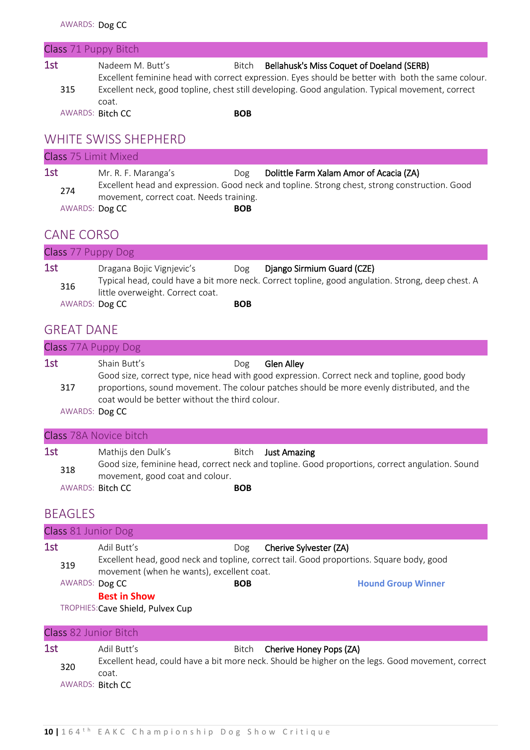| Class 71 Puppy Bitch |                                                                                                           |            |                                                                                                                                                |  |
|----------------------|-----------------------------------------------------------------------------------------------------------|------------|------------------------------------------------------------------------------------------------------------------------------------------------|--|
| 1st                  | Nadeem M. Butt's                                                                                          | Bitch      | Bellahusk's Miss Coquet of Doeland (SERB)<br>Excellent feminine head with correct expression. Eyes should be better with both the same colour. |  |
| 315                  | Excellent neck, good topline, chest still developing. Good angulation. Typical movement, correct<br>coat. |            |                                                                                                                                                |  |
|                      | <b>AWARDS: Bitch CC</b>                                                                                   | <b>BOB</b> |                                                                                                                                                |  |
|                      |                                                                                                           |            |                                                                                                                                                |  |

#### WHITE SWISS SHEPHERD

| Class 75 Limit Mixed |                                                                |            |                                                                                                                                          |  |  |
|----------------------|----------------------------------------------------------------|------------|------------------------------------------------------------------------------------------------------------------------------------------|--|--|
| 1st<br>274           | Mr. R. F. Maranga's<br>movement, correct coat. Needs training. | Dog        | Dolittle Farm Xalam Amor of Acacia (ZA)<br>Excellent head and expression. Good neck and topline. Strong chest, strong construction. Good |  |  |
| AWARDS: Dog CC       |                                                                | <b>BOB</b> |                                                                                                                                          |  |  |

# CANE CORSO

| Class 77 Puppy Dog |                                  |            |                                                                                                   |
|--------------------|----------------------------------|------------|---------------------------------------------------------------------------------------------------|
| 1st                | Dragana Bojic Vignjevic's        | Dog        | Django Sirmium Guard (CZE)                                                                        |
| 316                |                                  |            | Typical head, could have a bit more neck. Correct topline, good angulation. Strong, deep chest. A |
|                    | little overweight. Correct coat. |            |                                                                                                   |
| AWARDS: Dog CC     |                                  | <b>BOB</b> |                                                                                                   |

# GREAT DANE

|     |                | Class 77A Puppy Dog                                                                                                                                         |                                                                                                                                                                                                                 |
|-----|----------------|-------------------------------------------------------------------------------------------------------------------------------------------------------------|-----------------------------------------------------------------------------------------------------------------------------------------------------------------------------------------------------------------|
| 1st | 317            | Shain Butt's<br>Dog<br>coat would be better without the third colour.<br>AWARDS: Dog CC                                                                     | <b>Glen Alley</b><br>Good size, correct type, nice head with good expression. Correct neck and topline, good body<br>proportions, sound movement. The colour patches should be more evenly distributed, and the |
|     |                | Class 78A Novice bitch                                                                                                                                      |                                                                                                                                                                                                                 |
| 1st | 318            | Mathijs den Dulk's<br>Bitch<br>movement, good coat and colour.<br>AWARDS: Bitch CC<br><b>BOB</b>                                                            | <b>Just Amazing</b><br>Good size, feminine head, correct neck and topline. Good proportions, correct angulation. Sound                                                                                          |
|     | <b>BEAGLES</b> |                                                                                                                                                             |                                                                                                                                                                                                                 |
|     |                | Class 81 Junior Dog                                                                                                                                         |                                                                                                                                                                                                                 |
| 1st | 319            | Adil Butt's<br>Dog<br>movement (when he wants), excellent coat.<br>AWARDS: Dog CC<br><b>BOB</b><br><b>Best in Show</b><br>TROPHIES: Cave Shield, Pulvex Cup | Cherive Sylvester (ZA)<br>Excellent head, good neck and topline, correct tail. Good proportions. Square body, good<br><b>Hound Group Winner</b>                                                                 |
|     |                | Class 82 Junior Bitch                                                                                                                                       |                                                                                                                                                                                                                 |
| 1st | 320            | Adil Butt's<br>Bitch<br>coat.<br>AWARDS: Bitch CC                                                                                                           | Cherive Honey Pops (ZA)<br>Excellent head, could have a bit more neck. Should be higher on the legs. Good movement, correct                                                                                     |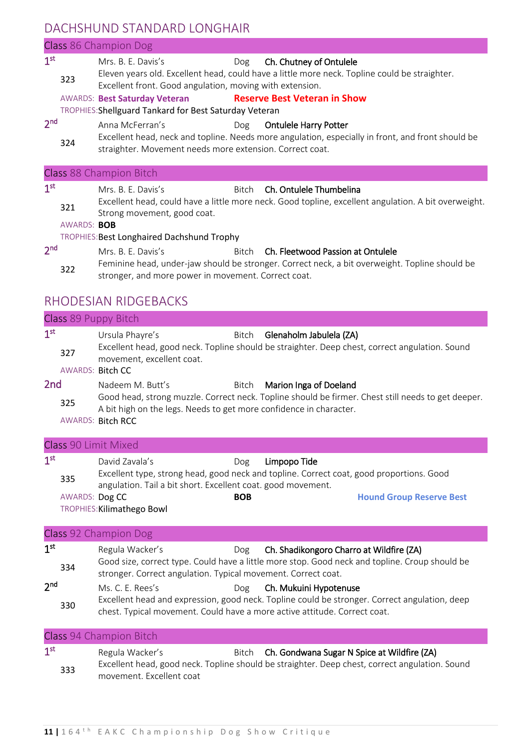### DACHSHUND STANDARD LONGHAIR

#### Class 86 Champion Dog 1 st Mrs. B. E. Davis's Dog Ch. Chutney of Ontulele <sup>323</sup> Eleven years old. Excellent head, could have a little more neck. Topline could be straighter. Excellent front. Good angulation, moving with extension. AWARDS: **Best Saturday Veteran Reserve Best Veteran in Show** TROPHIES:Shellguard Tankard for Best Saturday Veteran 2 nd Anna McFerran's Dog Ontulele Harry Potter <sup>324</sup> Excellent head, neck and topline. Needs more angulation, especially in front, and front should be straighter. Movement needs more extension. Correct coat. Class 88 Champion Bitch 1 st Mrs. B. E. Davis's Bitch Ch. Ontulele Thumbelina <sup>321</sup> Excellent head, could have a little more neck. Good topline, excellent angulation. A bit overweight. Strong movement, good coat. AWARDS: **BOB** TROPHIES:Best Longhaired Dachshund Trophy 2 nd Mrs. B. E. Davis's **Bitch Ch. Fleetwood Passion at Ontulele** <sup>322</sup> Feminine head, under-jaw should be stronger. Correct neck, a bit overweight. Topline should be stronger, and more power in movement. Correct coat.

#### RHODESIAN RIDGEBACKS

|                                           | Class 89 Puppy Bitch                                                                                                           |                   |                                                                                                                                                                          |
|-------------------------------------------|--------------------------------------------------------------------------------------------------------------------------------|-------------------|--------------------------------------------------------------------------------------------------------------------------------------------------------------------------|
| 1 <sup>st</sup><br>327                    | Ursula Phayre's<br>movement, excellent coat.<br>AWARDS: Bitch CC                                                               | Bitch             | Glenaholm Jabulela (ZA)<br>Excellent head, good neck. Topline should be straighter. Deep chest, correct angulation. Sound                                                |
| 2 <sub>nd</sub><br>325                    | Nadeem M. Butt's<br>A bit high on the legs. Needs to get more confidence in character.<br><b>AWARDS: Bitch RCC</b>             | Bitch             | Marion Inga of Doeland<br>Good head, strong muzzle. Correct neck. Topline should be firmer. Chest still needs to get deeper.                                             |
|                                           | <b>Class 90 Limit Mixed</b>                                                                                                    |                   |                                                                                                                                                                          |
| 1 <sup>st</sup><br>335                    | David Zavala's<br>angulation. Tail a bit short. Excellent coat. good movement.<br>AWARDS: Dog CC<br>TROPHIES: Kilimathego Bowl | Dog<br><b>BOB</b> | Limpopo Tide<br>Excellent type, strong head, good neck and topline. Correct coat, good proportions. Good<br><b>Hound Group Reserve Best</b>                              |
|                                           | Class 92 Champion Dog                                                                                                          |                   |                                                                                                                                                                          |
| 1 <sup>st</sup><br>334<br>2 <sub>nd</sub> | Regula Wacker's<br>stronger. Correct angulation. Typical movement. Correct coat.<br>Ms. C. E. Rees's                           | Dog               | Dog Ch. Shadikongoro Charro at Wildfire (ZA)<br>Good size, correct type. Could have a little more stop. Good neck and topline. Croup should be<br>Ch. Mukuini Hypotenuse |
| 330                                       | chest. Typical movement. Could have a more active attitude. Correct coat.                                                      |                   | Excellent head and expression, good neck. Topline could be stronger. Correct angulation, deep                                                                            |
|                                           | Class 94 Champion Bitch                                                                                                        |                   |                                                                                                                                                                          |

| $1^{\rm st}$ | Regula Wacker's          | Bitch Ch. Gondwana Sugar N Spice at Wildfire (ZA)                                              |
|--------------|--------------------------|------------------------------------------------------------------------------------------------|
| 333          |                          | Excellent head, good neck. Topline should be straighter. Deep chest, correct angulation. Sound |
|              | movement. Excellent coat |                                                                                                |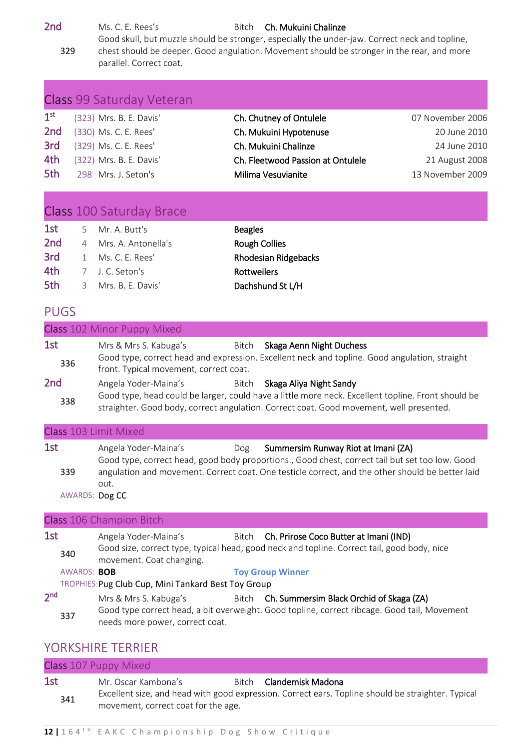2nd Ms. C. E. Rees's Bitch Ch. Mukuini Chalinze 329 Good skull, but muzzle should be stronger, especially the under-jaw. Correct neck and topline, chest should be deeper. Good angulation. Movement should be stronger in the rear, and more

parallel. Correct coat.

|                 | Class 99 Saturday Veteran |                                   |                  |
|-----------------|---------------------------|-----------------------------------|------------------|
| 1 <sup>st</sup> | (323) Mrs. B. E. Davis'   | Ch. Chutney of Ontulele           | 07 November 2006 |
| 2nd             | (330) Ms. C. E. Rees'     | Ch. Mukuini Hypotenuse            | 20 June 2010     |
| 3rd             | (329) Ms. C. E. Rees'     | Ch. Mukuini Chalinze              | 24 June 2010     |
| 4th             | (322) Mrs. B. E. Davis'   | Ch. Fleetwood Passion at Ontulele | 21 August 2008   |
| 5th             | 298 Mrs. J. Seton's       | Milima Vesuvianite                | 13 November 2009 |

# Class 100 Saturday Brace

| 1st             | 5 Mr. A. Butt's       | <b>Beagles</b>              |
|-----------------|-----------------------|-----------------------------|
| 2 <sub>nd</sub> | 4 Mrs. A. Antonella's | <b>Rough Collies</b>        |
| 3rd             | 1 Ms. C. F. Rees'     | <b>Rhodesian Ridgebacks</b> |
| 4th             | 7 J. C. Seton's       | Rottweilers                 |
| 5th             | 3 Mrs. B. F. Davis'   | Dachshund St L/H            |

#### PUGS

# Class 102 Minor Puppy Mixed 1st Mrs & Mrs S. Kabuga's Bitch Skaga Aenn Night Duchess <sup>336</sup> Good type, correct head and expression. Excellent neck and topline. Good angulation, straight front. Typical movement, correct coat. 2nd Angela Yoder-Maina's Bitch Skaga Aliya Night Sandy <sup>338</sup> Good type, head could be larger, could have a little more neck. Excellent topline. Front should be straighter. Good body, correct angulation. Correct coat. Good movement, well presented.

#### Class 103 Limit Mixed

| 1st            | Angela Yoder-Maina's | Dog | Summersim Runway Riot at Imani (ZA)                                                              |
|----------------|----------------------|-----|--------------------------------------------------------------------------------------------------|
|                |                      |     | Good type, correct head, good body proportions., Good chest, correct tail but set too low. Good  |
| 339            |                      |     | angulation and movement. Correct coat. One testicle correct, and the other should be better laid |
|                | out.                 |     |                                                                                                  |
| AWARDS: Dog CC |                      |     |                                                                                                  |

#### Class 106 Champion Bitch

| 1st             |             | Angela Yoder-Maina's                                                                                                    |  | Bitch Ch. Prirose Coco Butter at Imani (IND)                                                                                                   |  |  |
|-----------------|-------------|-------------------------------------------------------------------------------------------------------------------------|--|------------------------------------------------------------------------------------------------------------------------------------------------|--|--|
|                 | 340         | Good size, correct type, typical head, good neck and topline. Correct tail, good body, nice<br>movement. Coat changing. |  |                                                                                                                                                |  |  |
|                 | AWARDS: BOB |                                                                                                                         |  | <b>Toy Group Winner</b>                                                                                                                        |  |  |
|                 |             | TROPHIES: Pug Club Cup, Mini Tankard Best Toy Group                                                                     |  |                                                                                                                                                |  |  |
| 2 <sub>nd</sub> | 337         | Mrs & Mrs S. Kabuga's<br>needs more power, correct coat.                                                                |  | Bitch Ch. Summersim Black Orchid of Skaga (ZA)<br>Good type correct head, a bit overweight. Good topline, correct ribcage. Good tail, Movement |  |  |

#### YORKSHIRE TERRIER

| Class 107 Puppy Mixed |                                     |       |                                                                                                    |  |  |  |
|-----------------------|-------------------------------------|-------|----------------------------------------------------------------------------------------------------|--|--|--|
| 1st                   | Mr. Oscar Kambona's                 | Bitch | Clandemisk Madona                                                                                  |  |  |  |
| 341                   | movement, correct coat for the age. |       | Excellent size, and head with good expression. Correct ears. Topline should be straighter. Typical |  |  |  |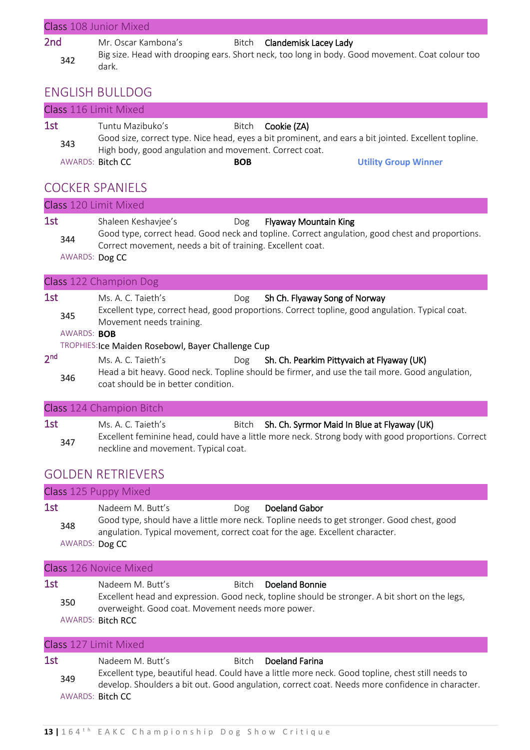| Class 108 Junior Mixed |                     |  |                                                                                                 |  |  |  |
|------------------------|---------------------|--|-------------------------------------------------------------------------------------------------|--|--|--|
| 2nd                    | Mr. Oscar Kambona's |  | Bitch <b>Clandemisk Lacey Lady</b>                                                              |  |  |  |
| 342                    | dark.               |  | Big size. Head with drooping ears. Short neck, too long in body. Good movement. Coat colour too |  |  |  |

# ENGLISH BULLDOG

|            | Class 116 Limit Mixed                                                      |            |                                                                                                                                  |
|------------|----------------------------------------------------------------------------|------------|----------------------------------------------------------------------------------------------------------------------------------|
| 1st<br>343 | Tuntu Mazibuko's<br>High body, good angulation and movement. Correct coat. |            | Bitch <b>Cookie (ZA)</b><br>Good size, correct type. Nice head, eyes a bit prominent, and ears a bit jointed. Excellent topline. |
|            | AWARDS: Bitch CC                                                           | <b>BOB</b> | <b>Utility Group Winner</b>                                                                                                      |

# COCKER SPANIELS

|                 |                       | <b>Class</b> 120 Limit Mixed                                                                                |                                                                                                                                                   |
|-----------------|-----------------------|-------------------------------------------------------------------------------------------------------------|---------------------------------------------------------------------------------------------------------------------------------------------------|
| 1st             | 344<br>AWARDS: Dog CC | Shaleen Keshavjee's<br>Dog<br>Correct movement, needs a bit of training. Excellent coat.                    | <b>Flyaway Mountain King</b><br>Good type, correct head. Good neck and topline. Correct angulation, good chest and proportions.                   |
|                 |                       | Class 122 Champion Dog                                                                                      |                                                                                                                                                   |
| 1st             | 345<br>AWARDS: BOB    | Ms. A. C. Taieth's<br>Dog<br>Movement needs training.<br>TROPHIES: Ice Maiden Rosebowl, Bayer Challenge Cup | Sh Ch. Flyaway Song of Norway<br>Excellent type, correct head, good proportions. Correct topline, good angulation. Typical coat.                  |
| 2 <sup>nd</sup> | 346                   | Ms. A. C. Taieth's<br>Dog<br>coat should be in better condition.                                            | Sh. Ch. Pearkim Pittyvaich at Flyaway (UK)<br>Head a bit heavy. Good neck. Topline should be firmer, and use the tail more. Good angulation,      |
|                 |                       | Class 124 Champion Bitch                                                                                    |                                                                                                                                                   |
| 1st             | 347                   | Ms. A. C. Taieth's<br>Bitch                                                                                 | Sh. Ch. Syrmor Maid In Blue at Flyaway (UK)<br>Excellent feminine head, could have a little more neck. Strong body with good proportions. Correct |

# GOLDEN RETRIEVERS

neckline and movement. Typical coat.

|                              | Class 125 Puppy Mixed                                                                                                                                                                                                       |
|------------------------------|-----------------------------------------------------------------------------------------------------------------------------------------------------------------------------------------------------------------------------|
| 1st<br>348<br>AWARDS: Dog CC | Doeland Gabor<br>Nadeem M. Butt's<br>Dog<br>Good type, should have a little more neck. Topline needs to get stronger. Good chest, good<br>angulation. Typical movement, correct coat for the age. Excellent character.      |
|                              | <b>Class 126 Novice Mixed</b>                                                                                                                                                                                               |
| 1st<br>350                   | Bitch Doeland Bonnie<br>Nadeem M. Butt's<br>Excellent head and expression. Good neck, topline should be stronger. A bit short on the legs,<br>overweight. Good coat. Movement needs more power.<br><b>AWARDS: Bitch RCC</b> |

| Class 127 Limit Mixed |                                                                                                                                                                                                                                                                          |  |  |  |
|-----------------------|--------------------------------------------------------------------------------------------------------------------------------------------------------------------------------------------------------------------------------------------------------------------------|--|--|--|
| 1st<br>349            | Doeland Farina<br>Nadeem M. Butt's<br>Bitch<br>Excellent type, beautiful head. Could have a little more neck. Good topline, chest still needs to<br>develop. Shoulders a bit out. Good angulation, correct coat. Needs more confidence in character.<br>AWARDS: Bitch CC |  |  |  |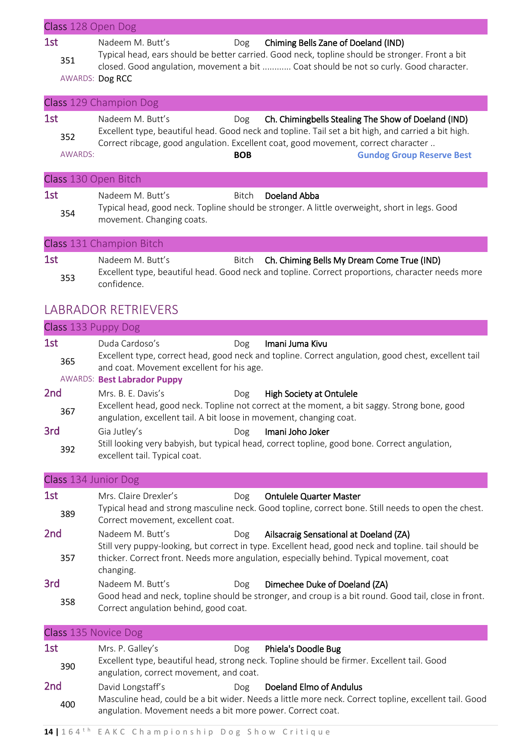| Class 128 Open Dog           |                                                                                                                                                                                                                                                                                                                                                                                                           |
|------------------------------|-----------------------------------------------------------------------------------------------------------------------------------------------------------------------------------------------------------------------------------------------------------------------------------------------------------------------------------------------------------------------------------------------------------|
| 1st<br>351                   | Nadeem M. Butt's<br>Chiming Bells Zane of Doeland (IND)<br>Dog<br>Typical head, ears should be better carried. Good neck, topline should be stronger. Front a bit<br>closed. Good angulation, movement a bit  Coat should be not so curly. Good character.<br>AWARDS: Dog RCC                                                                                                                             |
|                              | Class 129 Champion Dog                                                                                                                                                                                                                                                                                                                                                                                    |
| 1st<br>352<br><b>AWARDS:</b> | Nadeem M. Butt's<br>Ch. Chimingbells Stealing The Show of Doeland (IND)<br>Dog<br>Excellent type, beautiful head. Good neck and topline. Tail set a bit high, and carried a bit high.<br>Correct ribcage, good angulation. Excellent coat, good movement, correct character<br><b>BOB</b><br><b>Gundog Group Reserve Best</b>                                                                             |
| Class 130 Open Bitch         |                                                                                                                                                                                                                                                                                                                                                                                                           |
| 1st<br>354                   | Nadeem M. Butt's<br>Bitch<br>Doeland Abba<br>Typical head, good neck. Topline should be stronger. A little overweight, short in legs. Good<br>movement. Changing coats.                                                                                                                                                                                                                                   |
|                              | Class 131 Champion Bitch                                                                                                                                                                                                                                                                                                                                                                                  |
| 1st<br>353                   | Nadeem M. Butt's<br>Ch. Chiming Bells My Dream Come True (IND)<br>Bitch<br>Excellent type, beautiful head. Good neck and topline. Correct proportions, character needs more<br>confidence.                                                                                                                                                                                                                |
|                              | <b>LABRADOR RETRIEVERS</b>                                                                                                                                                                                                                                                                                                                                                                                |
| Class 133 Puppy Dog          |                                                                                                                                                                                                                                                                                                                                                                                                           |
| 1st<br>365                   | Duda Cardoso's<br>Imani Juma Kivu<br>Dog<br>Excellent type, correct head, good neck and topline. Correct angulation, good chest, excellent tail<br>and coat. Movement excellent for his age.<br><b>AWARDS: Best Labrador Puppy</b>                                                                                                                                                                        |
| 2nd<br>367<br>3rd<br>392     | Mrs. B. E. Davis's<br>High Society at Ontulele<br>Dog<br>Excellent head, good neck. Topline not correct at the moment, a bit saggy. Strong bone, good<br>angulation, excellent tail. A bit loose in movement, changing coat.<br>Imani Joho Joker<br>Gia Jutley's<br>Dog<br>Still looking very babyish, but typical head, correct topline, good bone. Correct angulation,<br>excellent tail. Typical coat. |
|                              |                                                                                                                                                                                                                                                                                                                                                                                                           |
| Class 134 Junior Dog         |                                                                                                                                                                                                                                                                                                                                                                                                           |
| 1st<br>389                   | Mrs. Claire Drexler's<br><b>Ontulele Quarter Master</b><br>Dog<br>Typical head and strong masculine neck. Good topline, correct bone. Still needs to open the chest.<br>Correct movement, excellent coat.                                                                                                                                                                                                 |
| 2 <sub>nd</sub><br>357       | Nadeem M. Butt's<br>Ailsacraig Sensational at Doeland (ZA)<br>Dog<br>Still very puppy-looking, but correct in type. Excellent head, good neck and topline. tail should be<br>thicker. Correct front. Needs more angulation, especially behind. Typical movement, coat<br>changing.                                                                                                                        |
| 3rd<br>358                   | Nadeem M. Butt's<br>Dimechee Duke of Doeland (ZA)<br>Dog<br>Good head and neck, topline should be stronger, and croup is a bit round. Good tail, close in front.<br>Correct angulation behind, good coat.                                                                                                                                                                                                 |
| Class 135 Novice Dog         |                                                                                                                                                                                                                                                                                                                                                                                                           |
| 1st<br>390                   | Phiela's Doodle Bug<br>Mrs. P. Galley's<br>Dog<br>Excellent type, beautiful head, strong neck. Topline should be firmer. Excellent tail. Good<br>angulation, correct movement, and coat.                                                                                                                                                                                                                  |
| 2 <sub>nd</sub><br>400       | David Longstaff's<br>Doeland Elmo of Andulus<br>Dog<br>Masculine head, could be a bit wider. Needs a little more neck. Correct topline, excellent tail. Good<br>angulation. Movement needs a bit more power. Correct coat.                                                                                                                                                                                |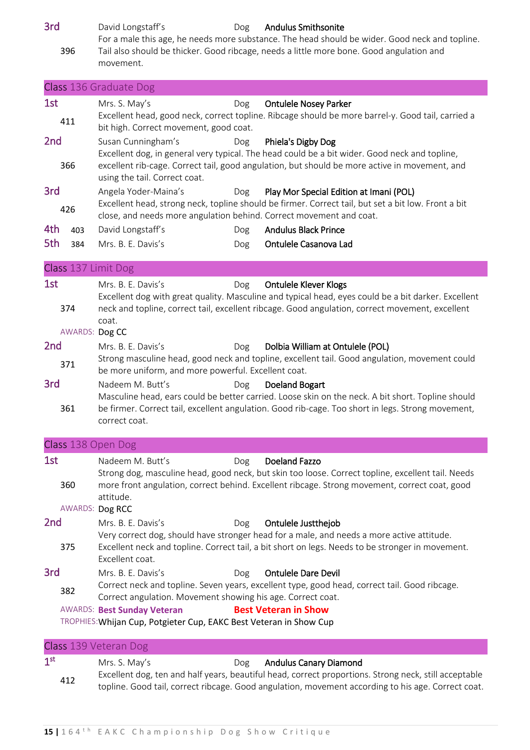3rd David Longstaff's Dog Andulus Smithsonite For a male this age, he needs more substance. The head should be wider. Good neck and topline.

396 Tail also should be thicker. Good ribcage, needs a little more bone. Good angulation and movement.

|                 |                       | Class 136 Graduate Dog                                                                                                                                                                                                                                                                                                                                             |
|-----------------|-----------------------|--------------------------------------------------------------------------------------------------------------------------------------------------------------------------------------------------------------------------------------------------------------------------------------------------------------------------------------------------------------------|
| 1st             | 411                   | Mrs. S. May's<br><b>Ontulele Nosey Parker</b><br><b>Dog</b><br>Excellent head, good neck, correct topline. Ribcage should be more barrel-y. Good tail, carried a<br>bit high. Correct movement, good coat.                                                                                                                                                         |
| 2 <sub>nd</sub> | 366                   | Susan Cunningham's<br>Phiela's Digby Dog<br>Dog<br>Excellent dog, in general very typical. The head could be a bit wider. Good neck and topline,<br>excellent rib-cage. Correct tail, good angulation, but should be more active in movement, and<br>using the tail. Correct coat.                                                                                 |
| 3rd             | 426                   | Angela Yoder-Maina's<br>Play Mor Special Edition at Imani (POL)<br>Dog<br>Excellent head, strong neck, topline should be firmer. Correct tail, but set a bit low. Front a bit<br>close, and needs more angulation behind. Correct movement and coat.                                                                                                               |
| 4th<br>5th      | 403<br>384            | <b>Andulus Black Prince</b><br>David Longstaff's<br>Dog<br>Mrs. B. E. Davis's<br>Ontulele Casanova Lad<br>Dog                                                                                                                                                                                                                                                      |
|                 |                       | Class 137 Limit Dog                                                                                                                                                                                                                                                                                                                                                |
| 1st             | 374<br>AWARDS: Dog CC | Mrs. B. E. Davis's<br><b>Ontulele Klever Klogs</b><br>Dog<br>Excellent dog with great quality. Masculine and typical head, eyes could be a bit darker. Excellent<br>neck and topline, correct tail, excellent ribcage. Good angulation, correct movement, excellent<br>coat.                                                                                       |
| 2 <sub>nd</sub> | 371                   | Mrs. B. E. Davis's<br>Dolbia William at Ontulele (POL)<br>Dog<br>Strong masculine head, good neck and topline, excellent tail. Good angulation, movement could<br>be more uniform, and more powerful. Excellent coat.                                                                                                                                              |
| 3rd             | 361                   | Nadeem M. Butt's<br>Doeland Bogart<br>Dog<br>Masculine head, ears could be better carried. Loose skin on the neck. A bit short. Topline should<br>be firmer. Correct tail, excellent angulation. Good rib-cage. Too short in legs. Strong movement,<br>correct coat.                                                                                               |
|                 |                       | Class 138 Open Dog                                                                                                                                                                                                                                                                                                                                                 |
| 1st             | 360                   | <b>Doeland Fazzo</b><br>Nadeem M. Butt's<br>Dog<br>Strong dog, masculine head, good neck, but skin too loose. Correct topline, excellent tail. Needs<br>more front angulation, correct behind. Excellent ribcage. Strong movement, correct coat, good<br>attitude.<br>AWARDS: Dog RCC                                                                              |
| 2 <sub>nd</sub> | 375                   | Mrs. B. E. Davis's<br>Ontulele Justthejob<br>Dog<br>Very correct dog, should have stronger head for a male, and needs a more active attitude.<br>Excellent neck and topline. Correct tail, a bit short on legs. Needs to be stronger in movement.<br>Excellent coat.                                                                                               |
| 3rd             | 382                   | Mrs. B. E. Davis's<br><b>Ontulele Dare Devil</b><br>Dog<br>Correct neck and topline. Seven years, excellent type, good head, correct tail. Good ribcage.<br>Correct angulation. Movement showing his age. Correct coat.<br><b>AWARDS: Best Sunday Veteran</b><br><b>Best Veteran in Show</b><br>TROPHIES: Whijan Cup, Potgieter Cup, EAKC Best Veteran in Show Cup |
|                 |                       | Class 139 Veteran Dog                                                                                                                                                                                                                                                                                                                                              |
| 1 <sup>st</sup> | 412                   | Mrs. S. May's<br><b>Andulus Canary Diamond</b><br>Dog<br>Excellent dog, ten and half years, beautiful head, correct proportions. Strong neck, still acceptable<br>topline. Good tail, correct ribcage. Good angulation, movement according to his age. Correct coat.                                                                                               |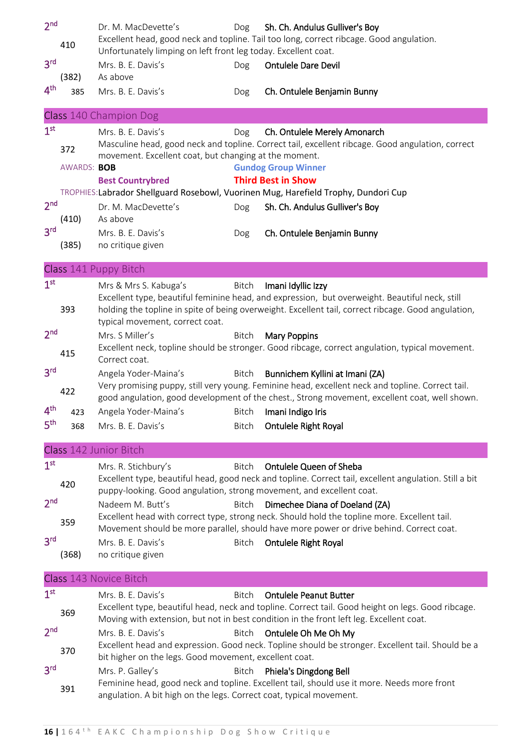| 2 <sub>nd</sub> | 410                | Dr. M. MacDevette's<br>Unfortunately limping on left front leg today. Excellent coat.                  | Dog          | Sh. Ch. Andulus Gulliver's Boy<br>Excellent head, good neck and topline. Tail too long, correct ribcage. Good angulation.                                                                                                            |
|-----------------|--------------------|--------------------------------------------------------------------------------------------------------|--------------|--------------------------------------------------------------------------------------------------------------------------------------------------------------------------------------------------------------------------------------|
| 3 <sup>rd</sup> | (382)              | Mrs. B. E. Davis's<br>As above                                                                         | Dog          | <b>Ontulele Dare Devil</b>                                                                                                                                                                                                           |
| 4 <sup>th</sup> | 385                | Mrs. B. E. Davis's                                                                                     | Dog          | Ch. Ontulele Benjamin Bunny                                                                                                                                                                                                          |
|                 |                    | <b>Class 140 Champion Dog</b>                                                                          |              |                                                                                                                                                                                                                                      |
| 1 <sup>st</sup> | 372<br>AWARDS: BOB | Mrs. B. E. Davis's<br>movement. Excellent coat, but changing at the moment.<br><b>Best Countrybred</b> | Dog          | Ch. Ontulele Merely Amonarch<br>Masculine head, good neck and topline. Correct tail, excellent ribcage. Good angulation, correct<br><b>Gundog Group Winner</b><br><b>Third Best in Show</b>                                          |
|                 |                    |                                                                                                        |              | TROPHIES:Labrador Shellguard Rosebowl, Vuorinen Mug, Harefield Trophy, Dundori Cup                                                                                                                                                   |
| 2 <sub>nd</sub> | (410)              | Dr. M. MacDevette's<br>As above                                                                        | Dog          | Sh. Ch. Andulus Gulliver's Boy                                                                                                                                                                                                       |
| 3 <sup>rd</sup> | (385)              | Mrs. B. E. Davis's<br>no critique given                                                                | Dog          | Ch. Ontulele Benjamin Bunny                                                                                                                                                                                                          |
|                 |                    | Class 141 Puppy Bitch                                                                                  |              |                                                                                                                                                                                                                                      |
| 1 <sup>st</sup> | 393                | Mrs & Mrs S. Kabuga's<br>typical movement, correct coat.                                               | Bitch        | Imani Idyllic Izzy<br>Excellent type, beautiful feminine head, and expression, but overweight. Beautiful neck, still<br>holding the topline in spite of being overweight. Excellent tail, correct ribcage. Good angulation,          |
| 2 <sub>nd</sub> | 415                | Mrs. S Miller's<br>Correct coat.                                                                       | <b>Bitch</b> | <b>Mary Poppins</b><br>Excellent neck, topline should be stronger. Good ribcage, correct angulation, typical movement.                                                                                                               |
| 3 <sup>rd</sup> | 422                | Angela Yoder-Maina's                                                                                   | Bitch        | Bunnichem Kyllini at Imani (ZA)<br>Very promising puppy, still very young. Feminine head, excellent neck and topline. Correct tail.<br>good angulation, good development of the chest., Strong movement, excellent coat, well shown. |
| 4 <sup>th</sup> | 423                | Angela Yoder-Maina's                                                                                   | Bitch        | Imani Indigo Iris                                                                                                                                                                                                                    |
| 5 <sup>th</sup> | 368                | Mrs. B. E. Davis's                                                                                     | <b>Bitch</b> | Ontulele Right Royal                                                                                                                                                                                                                 |
|                 |                    | Class 142 Junior Bitch                                                                                 |              |                                                                                                                                                                                                                                      |
| 1 <sup>st</sup> | 420                | Mrs. R. Stichbury's<br>puppy-looking. Good angulation, strong movement, and excellent coat.            | <b>Bitch</b> | Ontulele Queen of Sheba<br>Excellent type, beautiful head, good neck and topline. Correct tail, excellent angulation. Still a bit                                                                                                    |
| 2 <sub>nd</sub> | 359                | Nadeem M. Butt's                                                                                       | Bitch        | Dimechee Diana of Doeland (ZA)<br>Excellent head with correct type, strong neck. Should hold the topline more. Excellent tail.<br>Movement should be more parallel, should have more power or drive behind. Correct coat.            |
| 3 <sup>rd</sup> | (368)              | Mrs. B. E. Davis's<br>no critique given                                                                | <b>Bitch</b> | <b>Ontulele Right Royal</b>                                                                                                                                                                                                          |
|                 |                    | Class 143 Novice Bitch                                                                                 |              |                                                                                                                                                                                                                                      |
| 1 <sup>st</sup> | 369                | Mrs. B. E. Davis's                                                                                     | <b>Bitch</b> | <b>Ontulele Peanut Butter</b><br>Excellent type, beautiful head, neck and topline. Correct tail. Good height on legs. Good ribcage.<br>Moving with extension, but not in best condition in the front left leg. Excellent coat.       |
| 2 <sub>nd</sub> | 370                | Mrs. B. E. Davis's<br>bit higher on the legs. Good movement, excellent coat.                           | <b>Bitch</b> | Ontulele Oh Me Oh My<br>Excellent head and expression. Good neck. Topline should be stronger. Excellent tail. Should be a                                                                                                            |
| 3 <sup>rd</sup> | 391                | Mrs. P. Galley's<br>angulation. A bit high on the legs. Correct coat, typical movement.                | <b>Bitch</b> | Phiela's Dingdong Bell<br>Feminine head, good neck and topline. Excellent tail, should use it more. Needs more front                                                                                                                 |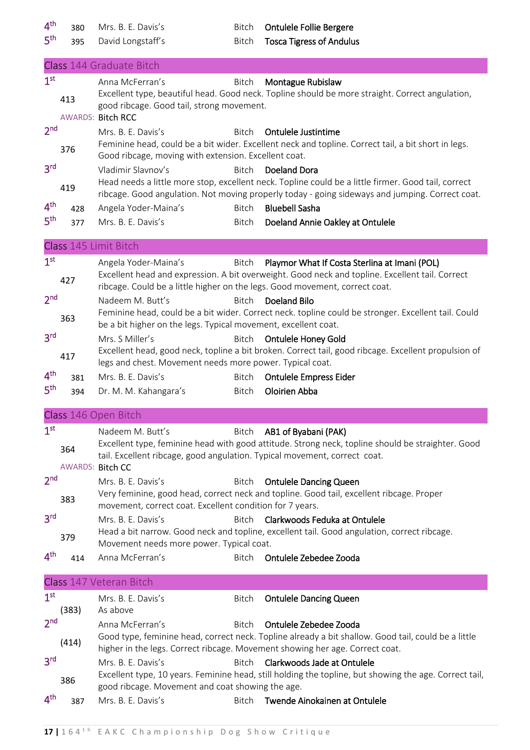4<sup>th</sup>

5 th

380 Mrs. B. E. Davis's Bitch Ontulele Follie Bergere

395 David Longstaff's Bitch Tosca Tigress of Andulus

|                                                                                             |                         | Class 144 Graduate Bitch                                                                                                                                                                                                                                                                                   |
|---------------------------------------------------------------------------------------------|-------------------------|------------------------------------------------------------------------------------------------------------------------------------------------------------------------------------------------------------------------------------------------------------------------------------------------------------|
| 1 <sup>st</sup>                                                                             | 413                     | Anna McFerran's<br>Montague Rubislaw<br>Bitch<br>Excellent type, beautiful head. Good neck. Topline should be more straight. Correct angulation,<br>good ribcage. Good tail, strong movement.<br><b>AWARDS: Bitch RCC</b>                                                                                  |
| 2 <sub>nd</sub>                                                                             | 376                     | Mrs. B. E. Davis's<br>Ontulele Justintime<br>Bitch<br>Feminine head, could be a bit wider. Excellent neck and topline. Correct tail, a bit short in legs.<br>Good ribcage, moving with extension. Excellent coat.                                                                                          |
| 3 <sup>rd</sup>                                                                             | 419                     | Vladimir Slavnov's<br>Bitch<br>Doeland Dora<br>Head needs a little more stop, excellent neck. Topline could be a little firmer. Good tail, correct<br>ribcage. Good angulation. Not moving properly today - going sideways and jumping. Correct coat.                                                      |
| 4 <sup>th</sup><br>5 <sup>th</sup>                                                          | 428<br>377              | Bitch<br><b>Bluebell Sasha</b><br>Angela Yoder-Maina's<br>Mrs. B. E. Davis's<br>Doeland Annie Oakley at Ontulele<br>Bitch                                                                                                                                                                                  |
|                                                                                             |                         | Class 145 Limit Bitch                                                                                                                                                                                                                                                                                      |
| 1 <sup>st</sup><br>2 <sub>nd</sub>                                                          | 427                     | Angela Yoder-Maina's<br>Playmor What If Costa Sterlina at Imani (POL)<br>Bitch<br>Excellent head and expression. A bit overweight. Good neck and topline. Excellent tail. Correct<br>ribcage. Could be a little higher on the legs. Good movement, correct coat.<br>Nadeem M. Butt's<br>Bitch Doeland Bilo |
|                                                                                             | 363                     | Feminine head, could be a bit wider. Correct neck. topline could be stronger. Excellent tail. Could<br>be a bit higher on the legs. Typical movement, excellent coat.                                                                                                                                      |
| 3 <sup>rd</sup>                                                                             | 417                     | Mrs. S Miller's<br>Bitch<br><b>Ontulele Honey Gold</b><br>Excellent head, good neck, topline a bit broken. Correct tail, good ribcage. Excellent propulsion of<br>legs and chest. Movement needs more power. Typical coat.                                                                                 |
| 4 <sup>th</sup>                                                                             | 381                     | Mrs. B. E. Davis's<br><b>Ontulele Empress Eider</b><br>Bitch                                                                                                                                                                                                                                               |
| 5 <sup>th</sup>                                                                             | 394                     | Oloirien Abba<br>Dr. M. M. Kahangara's<br>Bitch                                                                                                                                                                                                                                                            |
|                                                                                             |                         |                                                                                                                                                                                                                                                                                                            |
|                                                                                             |                         | Class 146 Open Bitch                                                                                                                                                                                                                                                                                       |
| 1 <sup>st</sup>                                                                             | 364<br>AWARDS: Bitch CC | Nadeem M. Butt's<br><b>Bitch</b><br>AB1 of Byabani (PAK)<br>Excellent type, feminine head with good attitude. Strong neck, topline should be straighter. Good<br>tail. Excellent ribcage, good angulation. Typical movement, correct coat.                                                                 |
|                                                                                             | 383                     | Mrs. B. E. Davis's<br><b>Ontulele Dancing Queen</b><br>Bitch<br>Very feminine, good head, correct neck and topline. Good tail, excellent ribcage. Proper<br>movement, correct coat. Excellent condition for 7 years.                                                                                       |
|                                                                                             | 379                     | Mrs. B. E. Davis's<br>Clarkwoods Feduka at Ontulele<br><b>Bitch</b><br>Head a bit narrow. Good neck and topline, excellent tail. Good angulation, correct ribcage.<br>Movement needs more power. Typical coat.                                                                                             |
|                                                                                             | 414                     | Anna McFerran's<br>Ontulele Zebedee Zooda<br>Bitch                                                                                                                                                                                                                                                         |
|                                                                                             |                         | Class 147 Veteran Bitch                                                                                                                                                                                                                                                                                    |
|                                                                                             | (383)                   | Mrs. B. E. Davis's<br>Bitch<br><b>Ontulele Dancing Queen</b><br>As above                                                                                                                                                                                                                                   |
| 2 <sub>nd</sub><br>3 <sup>rd</sup><br>4 <sup>th</sup><br>1 <sup>st</sup><br>2 <sub>nd</sub> | (414)                   | Ontulele Zebedee Zooda<br>Anna McFerran's<br><b>Bitch</b><br>Good type, feminine head, correct neck. Topline already a bit shallow. Good tail, could be a little<br>higher in the legs. Correct ribcage. Movement showing her age. Correct coat.                                                           |
| 3 <sup>rd</sup>                                                                             | 386                     | Clarkwoods Jade at Ontulele<br>Mrs. B. E. Davis's<br>Bitch<br>Excellent type, 10 years. Feminine head, still holding the topline, but showing the age. Correct tail,<br>good ribcage. Movement and coat showing the age.                                                                                   |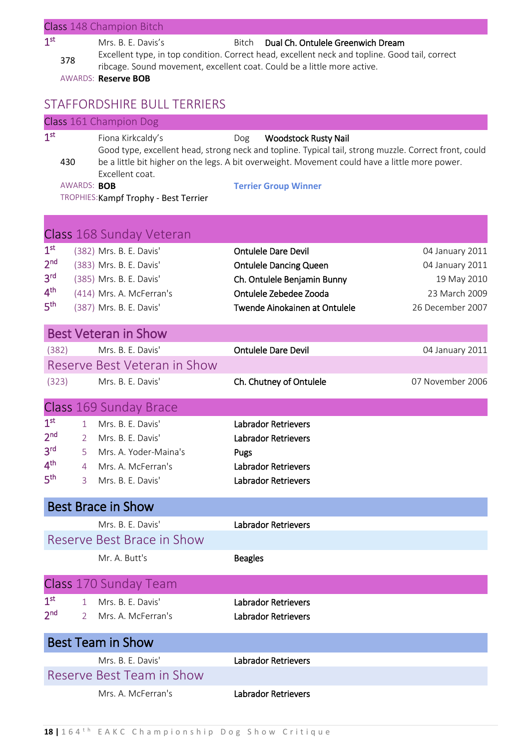|                                                                                             |                                               | Class 148 Champion Bitch                                                                                                             |                                                                                                                                                                                                                                                                              |                                                                                        |
|---------------------------------------------------------------------------------------------|-----------------------------------------------|--------------------------------------------------------------------------------------------------------------------------------------|------------------------------------------------------------------------------------------------------------------------------------------------------------------------------------------------------------------------------------------------------------------------------|----------------------------------------------------------------------------------------|
| 1 <sup>st</sup>                                                                             | 378                                           | Mrs. B. E. Davis's<br><b>AWARDS: Reserve BOB</b>                                                                                     | Dual Ch. Ontulele Greenwich Dream<br><b>Bitch</b><br>Excellent type, in top condition. Correct head, excellent neck and topline. Good tail, correct<br>ribcage. Sound movement, excellent coat. Could be a little more active.                                               |                                                                                        |
|                                                                                             |                                               | <b>STAFFORDSHIRE BULL TERRIERS</b>                                                                                                   |                                                                                                                                                                                                                                                                              |                                                                                        |
|                                                                                             |                                               | Class 161 Champion Dog                                                                                                               |                                                                                                                                                                                                                                                                              |                                                                                        |
| 1 <sup>st</sup>                                                                             | 430<br>AWARDS: BOB                            | Fiona Kirkcaldy's<br>Excellent coat.<br>TROPHIES: Kampf Trophy - Best Terrier                                                        | <b>Woodstock Rusty Nail</b><br>Dog<br>Good type, excellent head, strong neck and topline. Typical tail, strong muzzle. Correct front, could<br>be a little bit higher on the legs. A bit overweight. Movement could have a little more power.<br><b>Terrier Group Winner</b> |                                                                                        |
|                                                                                             |                                               | Class 168 Sunday Veteran                                                                                                             |                                                                                                                                                                                                                                                                              |                                                                                        |
| 1 <sup>st</sup><br>2 <sup>nd</sup><br>3 <sup>rd</sup><br>$4^{\text{th}}$<br>5 <sup>th</sup> |                                               | (382) Mrs. B. E. Davis'<br>(383) Mrs. B. E. Davis'<br>(385) Mrs. B. E. Davis'<br>(414) Mrs. A. McFerran's<br>(387) Mrs. B. E. Davis' | <b>Ontulele Dare Devil</b><br><b>Ontulele Dancing Queen</b><br>Ch. Ontulele Benjamin Bunny<br>Ontulele Zebedee Zooda<br>Twende Ainokainen at Ontulele                                                                                                                        | 04 January 2011<br>04 January 2011<br>19 May 2010<br>23 March 2009<br>26 December 2007 |
|                                                                                             |                                               | <b>Best Veteran in Show</b>                                                                                                          |                                                                                                                                                                                                                                                                              |                                                                                        |
| (382)                                                                                       |                                               | Mrs. B. E. Davis'<br>Reserve Best Veteran in Show                                                                                    | <b>Ontulele Dare Devil</b>                                                                                                                                                                                                                                                   | 04 January 2011                                                                        |
| (323)                                                                                       |                                               | Mrs. B. E. Davis'                                                                                                                    | Ch. Chutney of Ontulele                                                                                                                                                                                                                                                      | 07 November 2006                                                                       |
|                                                                                             |                                               | Class 169 Sunday Brace                                                                                                               |                                                                                                                                                                                                                                                                              |                                                                                        |
| 1 <sup>st</sup><br>2 <sub>nd</sub><br>3 <sup>rd</sup><br>4 <sup>th</sup><br>5 <sup>th</sup> | 1<br>2<br>5<br>$\overline{4}$<br>$\mathbf{3}$ | Mrs. B. E. Davis'<br>Mrs. B. E. Davis'<br>Mrs. A. Yoder-Maina's<br>Mrs. A. McFerran's<br>Mrs. B. E. Davis'                           | <b>Labrador Retrievers</b><br><b>Labrador Retrievers</b><br>Pugs<br><b>Labrador Retrievers</b><br><b>Labrador Retrievers</b>                                                                                                                                                 |                                                                                        |
|                                                                                             |                                               | <b>Best Brace in Show</b>                                                                                                            |                                                                                                                                                                                                                                                                              |                                                                                        |
|                                                                                             |                                               | Mrs. B. E. Davis'<br>Reserve Best Brace in Show<br>Mr. A. Butt's                                                                     | <b>Labrador Retrievers</b><br><b>Beagles</b>                                                                                                                                                                                                                                 |                                                                                        |
|                                                                                             |                                               | Class 170 Sunday Team                                                                                                                |                                                                                                                                                                                                                                                                              |                                                                                        |
| 1 <sup>st</sup><br>2 <sub>nd</sub>                                                          |                                               | 1 Mrs. B. E. Davis'<br>2 Mrs. A. McFerran's                                                                                          | <b>Labrador Retrievers</b><br><b>Labrador Retrievers</b>                                                                                                                                                                                                                     |                                                                                        |
|                                                                                             |                                               | <b>Best Team in Show</b>                                                                                                             |                                                                                                                                                                                                                                                                              |                                                                                        |
|                                                                                             |                                               | Mrs. B. E. Davis'<br>Reserve Best Team in Show                                                                                       | <b>Labrador Retrievers</b>                                                                                                                                                                                                                                                   |                                                                                        |
|                                                                                             |                                               | Mrs. A. McFerran's                                                                                                                   | Labrador Retrievers                                                                                                                                                                                                                                                          |                                                                                        |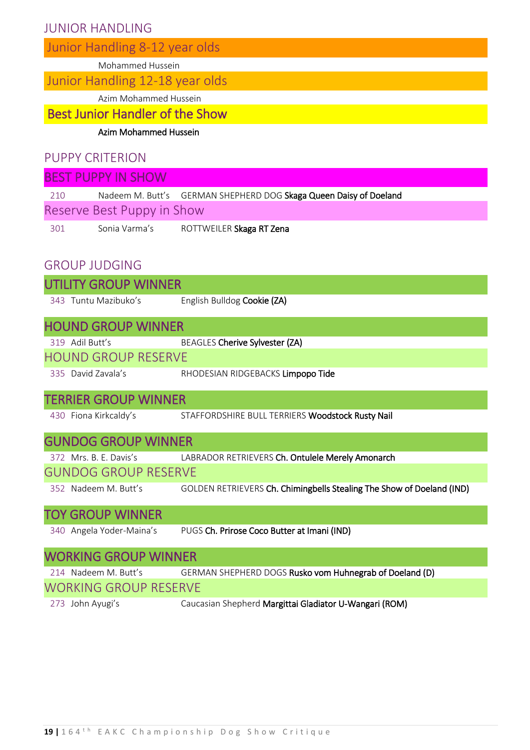# JUNIOR HANDLING

|  |  | Junior Handling 8-12 year olds |  |  |
|--|--|--------------------------------|--|--|
|--|--|--------------------------------|--|--|

Mohammed Hussein

Junior Handling 12-18 year olds

Azim Mohammed Hussein

# Best Junior Handler of the Show

Azim Mohammed Hussein

# PUPPY CRITERION

| <b>BEST PUPPY IN SHOW</b> |                            |                                                                   |  |  |
|---------------------------|----------------------------|-------------------------------------------------------------------|--|--|
| 210                       |                            | Nadeem M. Butt's GERMAN SHEPHERD DOG Skaga Queen Daisy of Doeland |  |  |
|                           | Reserve Best Puppy in Show |                                                                   |  |  |
| 301                       | Sonia Varma's              | ROTTWEILER Skaga RT Zena                                          |  |  |
|                           |                            |                                                                   |  |  |

# GROUP JUDGING

| UTILITY GROUP WINNER         |                                                                         |
|------------------------------|-------------------------------------------------------------------------|
| 343 Tuntu Mazibuko's         | English Bulldog Cookie (ZA)                                             |
| <b>HOUND GROUP WINNER</b>    |                                                                         |
| 319 Adil Butt's              | BEAGLES Cherive Sylvester (ZA)                                          |
| <b>HOUND GROUP RESERVE</b>   |                                                                         |
| 335 David Zavala's           | RHODESIAN RIDGEBACKS Limpopo Tide                                       |
| TERRIER GROUP WINNER         |                                                                         |
| 430 Fiona Kirkcaldy's        | STAFFORDSHIRE BULL TERRIERS Woodstock Rusty Nail                        |
| <b>GUNDOG GROUP WINNER</b>   |                                                                         |
|                              | 372 Mrs. B. E. Davis's LABRADOR RETRIEVERS Ch. Ontulele Merely Amonarch |
| <b>GUNDOG GROUP RESERVE</b>  |                                                                         |
| 352 Nadeem M. Butt's         | GOLDEN RETRIEVERS Ch. Chimingbells Stealing The Show of Doeland (IND)   |
| TOY GROUP WINNER             |                                                                         |
| 340 Angela Yoder-Maina's     | PUGS Ch. Prirose Coco Butter at Imani (IND)                             |
| <b>WORKING GROUP WINNER</b>  |                                                                         |
| 214 Nadeem M. Butt's         | GERMAN SHEPHERD DOGS Rusko vom Huhnegrab of Doeland (D)                 |
| <b>WORKING GROUP RESERVE</b> |                                                                         |
| 273 John Ayugi's             | Caucasian Shepherd Margittai Gladiator U-Wangari (ROM)                  |